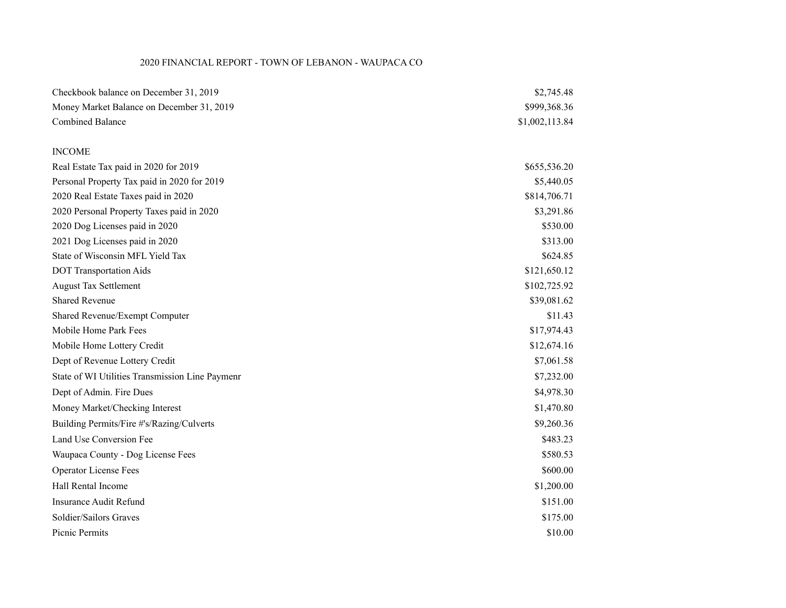### 2020 FINANCIAL REPORT - TOWN OF LEBANON - WAUPACA CO

| Checkbook balance on December 31, 2019          | \$2,745.48     |
|-------------------------------------------------|----------------|
| Money Market Balance on December 31, 2019       | \$999,368.36   |
| <b>Combined Balance</b>                         | \$1,002,113.84 |
|                                                 |                |
| <b>INCOME</b>                                   |                |
| Real Estate Tax paid in 2020 for 2019           | \$655,536.20   |
| Personal Property Tax paid in 2020 for 2019     | \$5,440.05     |
| 2020 Real Estate Taxes paid in 2020             | \$814,706.71   |
| 2020 Personal Property Taxes paid in 2020       | \$3,291.86     |
| 2020 Dog Licenses paid in 2020                  | \$530.00       |
| 2021 Dog Licenses paid in 2020                  | \$313.00       |
| State of Wisconsin MFL Yield Tax                | \$624.85       |
| <b>DOT Transportation Aids</b>                  | \$121,650.12   |
| <b>August Tax Settlement</b>                    | \$102,725.92   |
| <b>Shared Revenue</b>                           | \$39,081.62    |
| Shared Revenue/Exempt Computer                  | \$11.43        |
| Mobile Home Park Fees                           | \$17,974.43    |
| Mobile Home Lottery Credit                      | \$12,674.16    |
| Dept of Revenue Lottery Credit                  | \$7,061.58     |
| State of WI Utilities Transmission Line Paymenr | \$7,232.00     |
| Dept of Admin. Fire Dues                        | \$4,978.30     |
| Money Market/Checking Interest                  | \$1,470.80     |
| Building Permits/Fire #'s/Razing/Culverts       | \$9,260.36     |
| Land Use Conversion Fee                         | \$483.23       |
| Waupaca County - Dog License Fees               | \$580.53       |
| <b>Operator License Fees</b>                    | \$600.00       |
| Hall Rental Income                              | \$1,200.00     |
| <b>Insurance Audit Refund</b>                   | \$151.00       |
| Soldier/Sailors Graves                          | \$175.00       |
| Picnic Permits                                  | \$10.00        |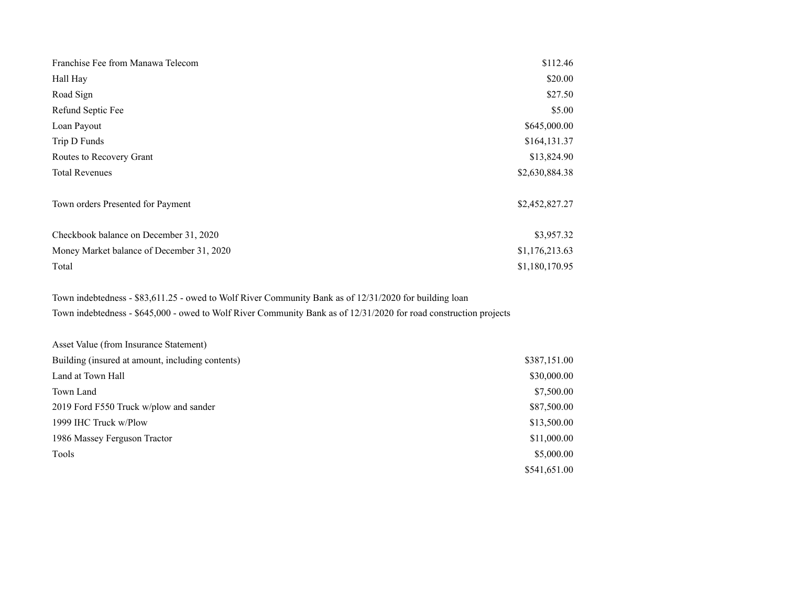| Franchise Fee from Manawa Telecom         | \$112.46       |
|-------------------------------------------|----------------|
| Hall Hay                                  | \$20.00        |
| Road Sign                                 | \$27.50        |
| Refund Septic Fee                         | \$5.00         |
| Loan Payout                               | \$645,000.00   |
| Trip D Funds                              | \$164,131.37   |
| Routes to Recovery Grant                  | \$13,824.90    |
| <b>Total Revenues</b>                     | \$2,630,884.38 |
| Town orders Presented for Payment         | \$2,452,827.27 |
| Checkbook balance on December 31, 2020    | \$3,957.32     |
| Money Market balance of December 31, 2020 | \$1,176,213.63 |
| Total                                     | \$1,180,170.95 |

Town indebtedness - \$83,611.25 - owed to Wolf River Community Bank as of 12/31/2020 for building loan Town indebtedness - \$645,000 - owed to Wolf River Community Bank as of 12/31/2020 for road construction projects

| Asset Value (from Insurance Statement)           |              |
|--------------------------------------------------|--------------|
| Building (insured at amount, including contents) | \$387,151.00 |
| Land at Town Hall                                | \$30,000.00  |
| Town Land                                        | \$7,500.00   |
| 2019 Ford F550 Truck w/plow and sander           | \$87,500.00  |
| 1999 IHC Truck w/Plow                            | \$13,500.00  |
| 1986 Massey Ferguson Tractor                     | \$11,000.00  |
| Tools                                            | \$5,000.00   |
|                                                  | \$541,651.00 |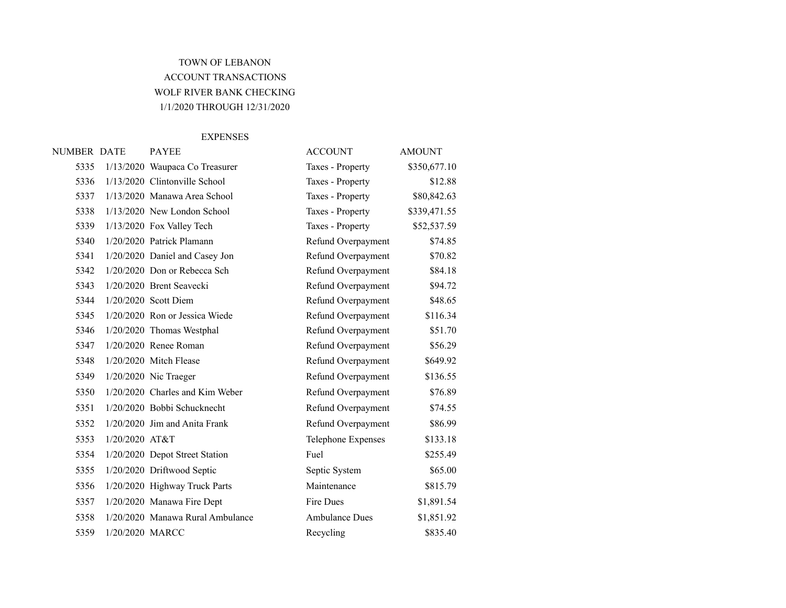# TOWN OF LEBANON ACCOUNT TRANSACTIONS WOLF RIVER BANK CHECKING 1/1/2020 THROUGH 12/31/2020

#### EXPENSES

| NUMBER DATE |                  | <b>PAYEE</b>                     | <b>ACCOUNT</b>        | <b>AMOUNT</b> |
|-------------|------------------|----------------------------------|-----------------------|---------------|
| 5335        |                  | 1/13/2020 Waupaca Co Treasurer   | Taxes - Property      | \$350,677.10  |
| 5336        |                  | 1/13/2020 Clintonville School    | Taxes - Property      | \$12.88       |
| 5337        |                  | 1/13/2020 Manawa Area School     | Taxes - Property      | \$80,842.63   |
| 5338        |                  | $1/13/2020$ New London School    | Taxes - Property      | \$339,471.55  |
| 5339        |                  | 1/13/2020 Fox Valley Tech        | Taxes - Property      | \$52,537.59   |
| 5340        |                  | 1/20/2020 Patrick Plamann        | Refund Overpayment    | \$74.85       |
| 5341        |                  | 1/20/2020 Daniel and Casey Jon   | Refund Overpayment    | \$70.82       |
| 5342        |                  | 1/20/2020 Don or Rebecca Sch     | Refund Overpayment    | \$84.18       |
| 5343        |                  | 1/20/2020 Brent Seavecki         | Refund Overpayment    | \$94.72       |
| 5344        |                  | 1/20/2020 Scott Diem             | Refund Overpayment    | \$48.65       |
| 5345        |                  | 1/20/2020 Ron or Jessica Wiede   | Refund Overpayment    | \$116.34      |
| 5346        |                  | 1/20/2020 Thomas Westphal        | Refund Overpayment    | \$51.70       |
| 5347        |                  | 1/20/2020 Renee Roman            | Refund Overpayment    | \$56.29       |
| 5348        |                  | $1/20/2020$ Mitch Flease         | Refund Overpayment    | \$649.92      |
| 5349        |                  | $1/20/2020$ Nic Traeger          | Refund Overpayment    | \$136.55      |
| 5350        |                  | 1/20/2020 Charles and Kim Weber  | Refund Overpayment    | \$76.89       |
| 5351        |                  | 1/20/2020 Bobbi Schucknecht      | Refund Overpayment    | \$74.55       |
| 5352        |                  | $1/20/2020$ Jim and Anita Frank  | Refund Overpayment    | \$86.99       |
| 5353        | $1/20/2020$ AT&T |                                  | Telephone Expenses    | \$133.18      |
| 5354        |                  | 1/20/2020 Depot Street Station   | Fuel                  | \$255.49      |
| 5355        |                  | 1/20/2020 Driftwood Septic       | Septic System         | \$65.00       |
| 5356        |                  | 1/20/2020 Highway Truck Parts    | Maintenance           | \$815.79      |
| 5357        |                  | 1/20/2020 Manawa Fire Dept       | Fire Dues             | \$1,891.54    |
| 5358        |                  | 1/20/2020 Manawa Rural Ambulance | <b>Ambulance Dues</b> | \$1,851.92    |
| 5359        | 1/20/2020 MARCC  |                                  | Recycling             | \$835.40      |
|             |                  |                                  |                       |               |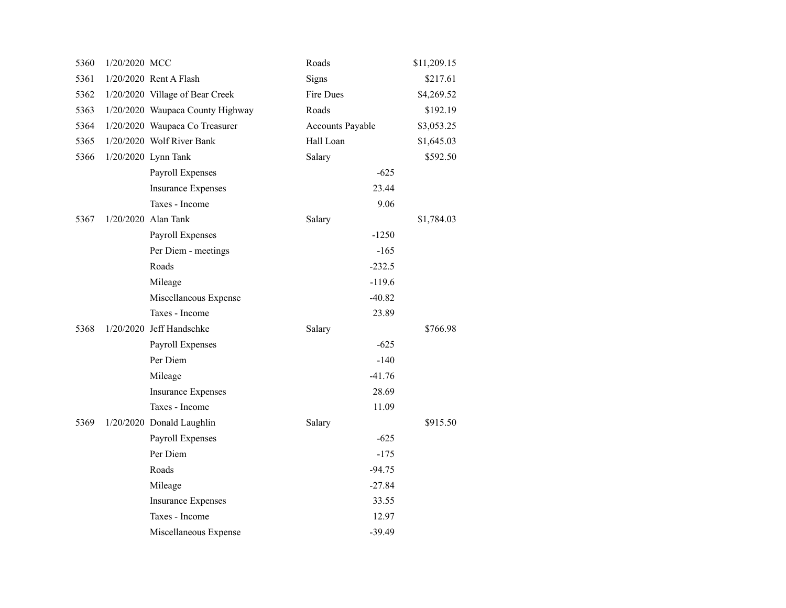| 5360 | 1/20/2020 MCC |                                  | Roads                   | \$11,209.15 |
|------|---------------|----------------------------------|-------------------------|-------------|
| 5361 |               | 1/20/2020 Rent A Flash           | Signs                   | \$217.61    |
| 5362 |               | 1/20/2020 Village of Bear Creek  | Fire Dues               | \$4,269.52  |
| 5363 |               | 1/20/2020 Waupaca County Highway | Roads                   | \$192.19    |
| 5364 |               | 1/20/2020 Waupaca Co Treasurer   | <b>Accounts Payable</b> | \$3,053.25  |
| 5365 |               | 1/20/2020 Wolf River Bank        | Hall Loan               | \$1,645.03  |
| 5366 |               | 1/20/2020 Lynn Tank              | Salary                  | \$592.50    |
|      |               | Payroll Expenses                 | $-625$                  |             |
|      |               | <b>Insurance Expenses</b>        | 23.44                   |             |
|      |               | Taxes - Income                   | 9.06                    |             |
| 5367 |               | 1/20/2020 Alan Tank              | Salary                  | \$1,784.03  |
|      |               | Payroll Expenses                 | $-1250$                 |             |
|      |               | Per Diem - meetings              | $-165$                  |             |
|      |               | Roads                            | $-232.5$                |             |
|      |               | Mileage                          | $-119.6$                |             |
|      |               | Miscellaneous Expense            | $-40.82$                |             |
|      |               | Taxes - Income                   | 23.89                   |             |
| 5368 |               | 1/20/2020 Jeff Handschke         | Salary                  | \$766.98    |
|      |               | Payroll Expenses                 | $-625$                  |             |
|      |               | Per Diem                         | $-140$                  |             |
|      |               | Mileage                          | $-41.76$                |             |
|      |               | <b>Insurance Expenses</b>        | 28.69                   |             |
|      |               | Taxes - Income                   | 11.09                   |             |
| 5369 |               | 1/20/2020 Donald Laughlin        | Salary                  | \$915.50    |
|      |               | Payroll Expenses                 | $-625$                  |             |
|      |               | Per Diem                         | $-175$                  |             |
|      |               | Roads                            | $-94.75$                |             |
|      |               | Mileage                          | $-27.84$                |             |
|      |               | <b>Insurance Expenses</b>        | 33.55                   |             |
|      |               | Taxes - Income                   | 12.97                   |             |
|      |               | Miscellaneous Expense            | $-39.49$                |             |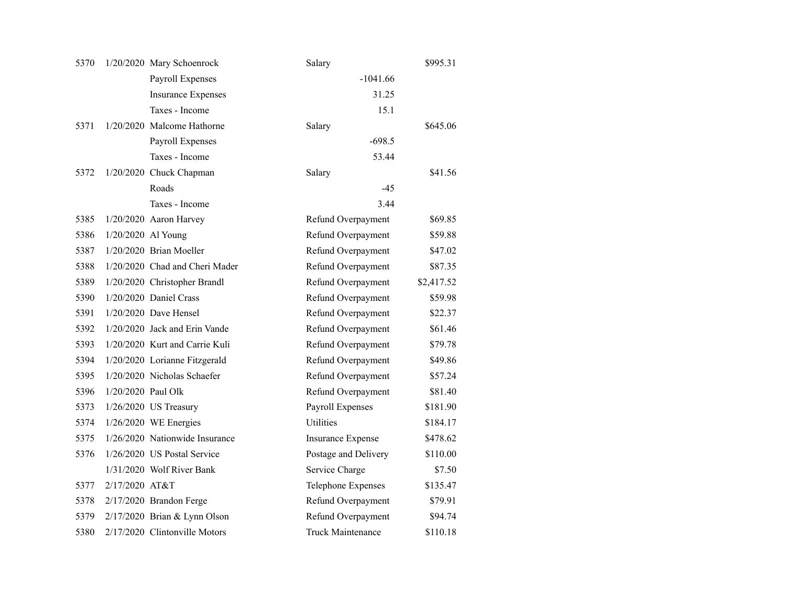| 5370 |                    | 1/20/2020 Mary Schoenrock      | Salary                   | \$995.31   |
|------|--------------------|--------------------------------|--------------------------|------------|
|      |                    | Payroll Expenses               | $-1041.66$               |            |
|      |                    | <b>Insurance Expenses</b>      | 31.25                    |            |
|      |                    | Taxes - Income                 | 15.1                     |            |
| 5371 |                    | 1/20/2020 Malcome Hathorne     | Salary                   | \$645.06   |
|      |                    | Payroll Expenses               | $-698.5$                 |            |
|      |                    | Taxes - Income                 | 53.44                    |            |
| 5372 |                    | 1/20/2020 Chuck Chapman        | Salary                   | \$41.56    |
|      |                    | Roads                          | $-45$                    |            |
|      |                    | Taxes - Income                 | 3.44                     |            |
| 5385 |                    | 1/20/2020 Aaron Harvey         | Refund Overpayment       | \$69.85    |
| 5386 | 1/20/2020 Al Young |                                | Refund Overpayment       | \$59.88    |
| 5387 |                    | 1/20/2020 Brian Moeller        | Refund Overpayment       | \$47.02    |
| 5388 |                    | 1/20/2020 Chad and Cheri Mader | Refund Overpayment       | \$87.35    |
| 5389 |                    | 1/20/2020 Christopher Brandl   | Refund Overpayment       | \$2,417.52 |
| 5390 |                    | 1/20/2020 Daniel Crass         | Refund Overpayment       | \$59.98    |
| 5391 |                    | $1/20/2020$ Dave Hensel        | Refund Overpayment       | \$22.37    |
| 5392 |                    | 1/20/2020 Jack and Erin Vande  | Refund Overpayment       | \$61.46    |
| 5393 |                    | 1/20/2020 Kurt and Carrie Kuli | Refund Overpayment       | \$79.78    |
| 5394 |                    | 1/20/2020 Lorianne Fitzgerald  | Refund Overpayment       | \$49.86    |
| 5395 |                    | 1/20/2020 Nicholas Schaefer    | Refund Overpayment       | \$57.24    |
| 5396 | 1/20/2020 Paul Olk |                                | Refund Overpayment       | \$81.40    |
| 5373 |                    | 1/26/2020 US Treasury          | Payroll Expenses         | \$181.90   |
| 5374 |                    | $1/26/2020$ WE Energies        | <b>Utilities</b>         | \$184.17   |
| 5375 |                    | 1/26/2020 Nationwide Insurance | <b>Insurance Expense</b> | \$478.62   |
| 5376 |                    | 1/26/2020 US Postal Service    | Postage and Delivery     | \$110.00   |
|      |                    | 1/31/2020 Wolf River Bank      | Service Charge           | \$7.50     |
| 5377 | 2/17/2020 AT&T     |                                | Telephone Expenses       | \$135.47   |
| 5378 |                    | 2/17/2020 Brandon Ferge        | Refund Overpayment       | \$79.91    |
| 5379 |                    | $2/17/2020$ Brian & Lynn Olson | Refund Overpayment       | \$94.74    |
| 5380 |                    | 2/17/2020 Clintonville Motors  | Truck Maintenance        | \$110.18   |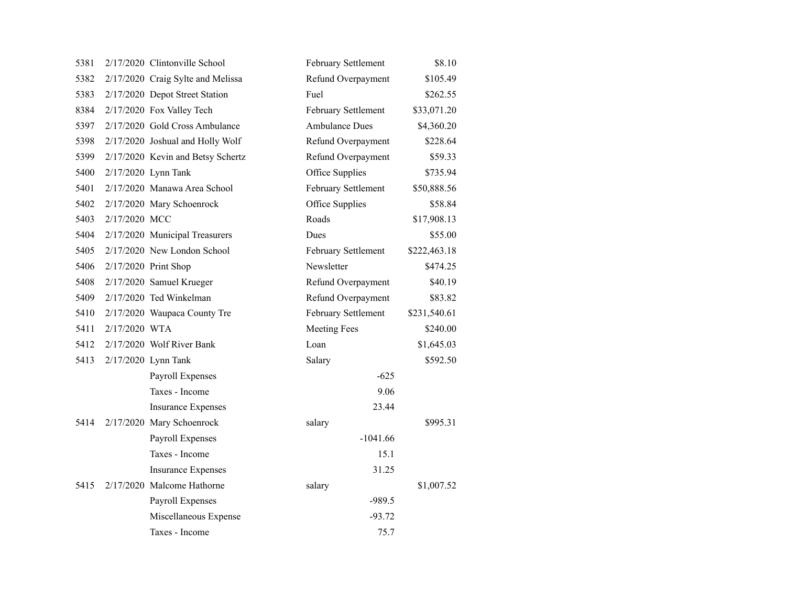| 5381 |               | 2/17/2020 Clintonville School     | February Settlement   | \$8.10       |
|------|---------------|-----------------------------------|-----------------------|--------------|
| 5382 |               | 2/17/2020 Craig Sylte and Melissa | Refund Overpayment    | \$105.49     |
| 5383 |               | 2/17/2020 Depot Street Station    | Fuel                  | \$262.55     |
| 8384 |               | 2/17/2020 Fox Valley Tech         | February Settlement   | \$33,071.20  |
| 5397 |               | 2/17/2020 Gold Cross Ambulance    | <b>Ambulance Dues</b> | \$4,360.20   |
| 5398 |               | 2/17/2020 Joshual and Holly Wolf  | Refund Overpayment    | \$228.64     |
| 5399 |               | 2/17/2020 Kevin and Betsy Schertz | Refund Overpayment    | \$59.33      |
| 5400 |               | 2/17/2020 Lynn Tank               | Office Supplies       | \$735.94     |
| 5401 |               | 2/17/2020 Manawa Area School      | February Settlement   | \$50,888.56  |
| 5402 |               | 2/17/2020 Mary Schoenrock         | Office Supplies       | \$58.84      |
| 5403 | 2/17/2020 MCC |                                   | Roads                 | \$17,908.13  |
| 5404 |               | 2/17/2020 Municipal Treasurers    | Dues                  | \$55.00      |
| 5405 |               | 2/17/2020 New London School       | February Settlement   | \$222,463.18 |
| 5406 |               | 2/17/2020 Print Shop              | Newsletter            | \$474.25     |
| 5408 |               | 2/17/2020 Samuel Krueger          | Refund Overpayment    | \$40.19      |
| 5409 |               | 2/17/2020 Ted Winkelman           | Refund Overpayment    | \$83.82      |
| 5410 |               | 2/17/2020 Waupaca County Tre      | February Settlement   | \$231,540.61 |
| 5411 | 2/17/2020 WTA |                                   | <b>Meeting Fees</b>   | \$240.00     |
| 5412 |               | 2/17/2020 Wolf River Bank         | Loan                  | \$1,645.03   |
| 5413 |               | 2/17/2020 Lynn Tank               | Salary                | \$592.50     |
|      |               | Payroll Expenses                  | $-625$                |              |
|      |               | Taxes - Income                    | 9.06                  |              |
|      |               | <b>Insurance Expenses</b>         | 23.44                 |              |
| 5414 |               | 2/17/2020 Mary Schoenrock         | salary                | \$995.31     |
|      |               | Payroll Expenses                  | $-1041.66$            |              |
|      |               | Taxes - Income                    | 15.1                  |              |
|      |               | <b>Insurance Expenses</b>         | 31.25                 |              |
| 5415 |               | 2/17/2020 Malcome Hathorne        | salary                | \$1,007.52   |
|      |               | Payroll Expenses                  | $-989.5$              |              |
|      |               | Miscellaneous Expense             | $-93.72$              |              |
|      |               | Taxes - Income                    | 75.7                  |              |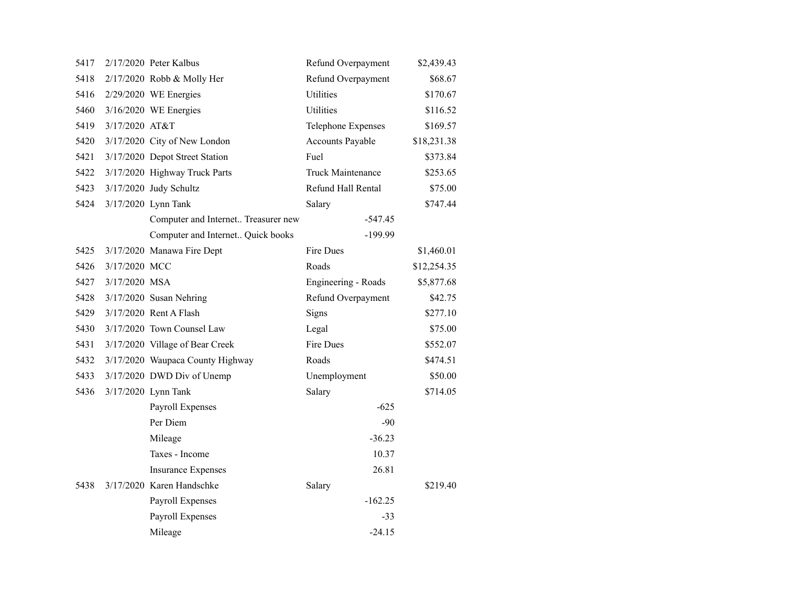| 5417 |                | $2/17/2020$ Peter Kalbus            | Refund Overpayment       | \$2,439.43  |
|------|----------------|-------------------------------------|--------------------------|-------------|
| 5418 |                | 2/17/2020 Robb & Molly Her          | Refund Overpayment       | \$68.67     |
| 5416 |                | 2/29/2020 WE Energies               | <b>Utilities</b>         | \$170.67    |
| 5460 |                | 3/16/2020 WE Energies               | <b>Utilities</b>         | \$116.52    |
| 5419 | 3/17/2020 AT&T |                                     | Telephone Expenses       | \$169.57    |
| 5420 |                | 3/17/2020 City of New London        | Accounts Payable         | \$18,231.38 |
| 5421 |                | 3/17/2020 Depot Street Station      | Fuel                     | \$373.84    |
| 5422 |                | 3/17/2020 Highway Truck Parts       | <b>Truck Maintenance</b> | \$253.65    |
| 5423 |                | 3/17/2020 Judy Schultz              | Refund Hall Rental       | \$75.00     |
| 5424 |                | 3/17/2020 Lynn Tank                 | Salary                   | \$747.44    |
|      |                | Computer and Internet Treasurer new | $-547.45$                |             |
|      |                | Computer and Internet Quick books   | -199.99                  |             |
| 5425 |                | 3/17/2020 Manawa Fire Dept          | Fire Dues                | \$1,460.01  |
| 5426 | 3/17/2020 MCC  |                                     | Roads                    | \$12,254.35 |
| 5427 | 3/17/2020 MSA  |                                     | Engineering - Roads      | \$5,877.68  |
| 5428 |                | $3/17/2020$ Susan Nehring           | Refund Overpayment       | \$42.75     |
| 5429 |                | 3/17/2020 Rent A Flash              | Signs                    | \$277.10    |
| 5430 |                | 3/17/2020 Town Counsel Law          | Legal                    | \$75.00     |
| 5431 |                | 3/17/2020 Village of Bear Creek     | Fire Dues                | \$552.07    |
| 5432 |                | 3/17/2020 Waupaca County Highway    | Roads                    | \$474.51    |
| 5433 |                | 3/17/2020 DWD Div of Unemp          | Unemployment             | \$50.00     |
| 5436 |                | 3/17/2020 Lynn Tank                 | Salary                   | \$714.05    |
|      |                | Payroll Expenses                    | $-625$                   |             |
|      |                | Per Diem                            | $-90$                    |             |
|      |                | Mileage                             | $-36.23$                 |             |
|      |                | Taxes - Income                      | 10.37                    |             |
|      |                | <b>Insurance Expenses</b>           | 26.81                    |             |
| 5438 |                | 3/17/2020 Karen Handschke           | Salary                   | \$219.40    |
|      |                | Payroll Expenses                    | $-162.25$                |             |
|      |                | Payroll Expenses                    | -33                      |             |
|      |                | Mileage                             | $-24.15$                 |             |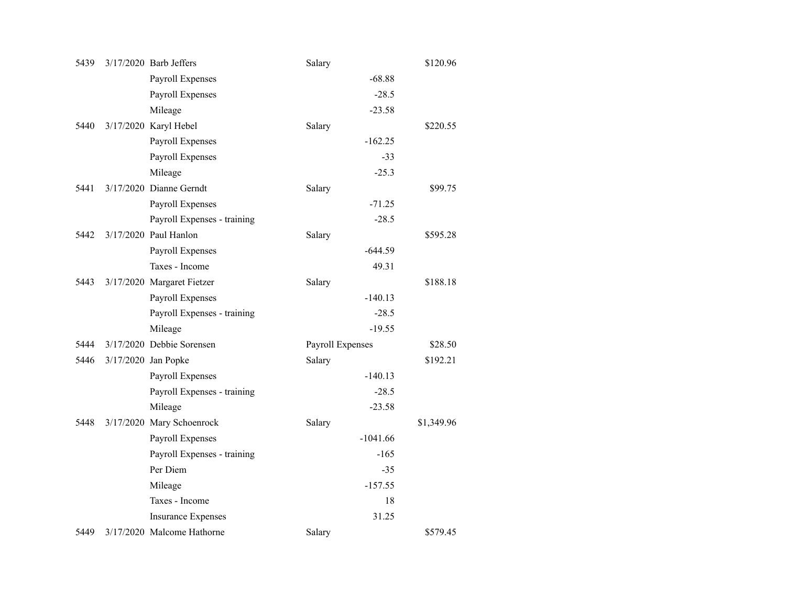| 5439 | 3/17/2020 Barb Jeffers      | Salary           |            | \$120.96   |
|------|-----------------------------|------------------|------------|------------|
|      | Payroll Expenses            |                  | $-68.88$   |            |
|      | Payroll Expenses            |                  | $-28.5$    |            |
|      | Mileage                     |                  | $-23.58$   |            |
| 5440 | 3/17/2020 Karyl Hebel       | Salary           |            | \$220.55   |
|      | Payroll Expenses            |                  | $-162.25$  |            |
|      | Payroll Expenses            |                  | $-33$      |            |
|      | Mileage                     |                  | $-25.3$    |            |
| 5441 | 3/17/2020 Dianne Gerndt     | Salary           |            | \$99.75    |
|      | Payroll Expenses            |                  | $-71.25$   |            |
|      | Payroll Expenses - training |                  | $-28.5$    |            |
| 5442 | 3/17/2020 Paul Hanlon       | Salary           |            | \$595.28   |
|      | Payroll Expenses            |                  | $-644.59$  |            |
|      | Taxes - Income              |                  | 49.31      |            |
| 5443 | 3/17/2020 Margaret Fietzer  | Salary           |            | \$188.18   |
|      | Payroll Expenses            |                  | $-140.13$  |            |
|      | Payroll Expenses - training |                  | $-28.5$    |            |
|      | Mileage                     |                  | $-19.55$   |            |
| 5444 | 3/17/2020 Debbie Sorensen   | Payroll Expenses |            | \$28.50    |
| 5446 | 3/17/2020 Jan Popke         | Salary           |            | \$192.21   |
|      | Payroll Expenses            |                  | $-140.13$  |            |
|      | Payroll Expenses - training |                  | $-28.5$    |            |
|      | Mileage                     |                  | $-23.58$   |            |
| 5448 | 3/17/2020 Mary Schoenrock   | Salary           |            | \$1,349.96 |
|      | Payroll Expenses            |                  | $-1041.66$ |            |
|      | Payroll Expenses - training |                  | $-165$     |            |
|      | Per Diem                    |                  | $-35$      |            |
|      | Mileage                     |                  | $-157.55$  |            |
|      | Taxes - Income              |                  | 18         |            |
|      | <b>Insurance Expenses</b>   |                  | 31.25      |            |
| 5449 | 3/17/2020 Malcome Hathorne  | Salary           |            | \$579.45   |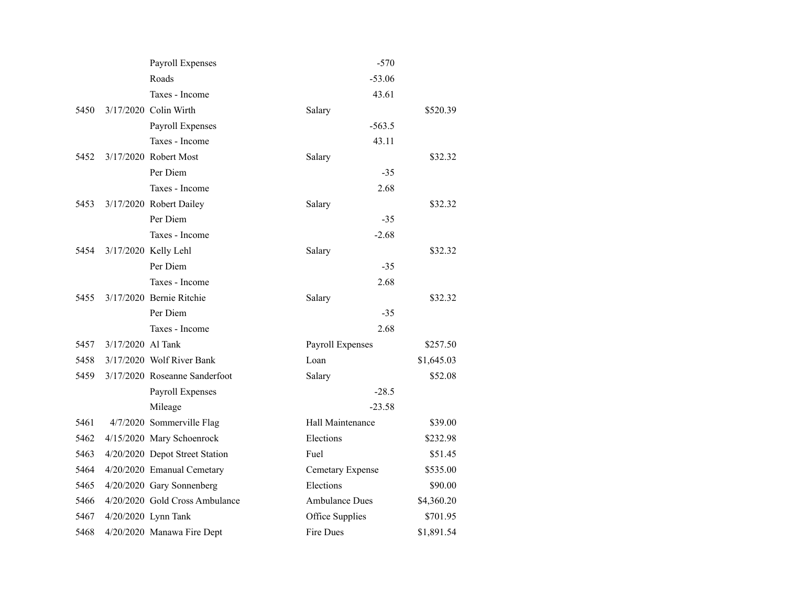|      |                   | Payroll Expenses               | $-570$                |            |
|------|-------------------|--------------------------------|-----------------------|------------|
|      |                   | Roads                          | $-53.06$              |            |
|      |                   | Taxes - Income                 | 43.61                 |            |
| 5450 |                   | 3/17/2020 Colin Wirth          | Salary                | \$520.39   |
|      |                   | Payroll Expenses               | $-563.5$              |            |
|      |                   | Taxes - Income                 | 43.11                 |            |
| 5452 |                   | 3/17/2020 Robert Most          | Salary                | \$32.32    |
|      |                   | Per Diem                       | $-35$                 |            |
|      |                   | Taxes - Income                 | 2.68                  |            |
| 5453 |                   | 3/17/2020 Robert Dailey        | Salary                | \$32.32    |
|      |                   | Per Diem                       | $-35$                 |            |
|      |                   | Taxes - Income                 | $-2.68$               |            |
| 5454 |                   | 3/17/2020 Kelly Lehl           | Salary                | \$32.32    |
|      |                   | Per Diem                       | $-35$                 |            |
|      |                   | Taxes - Income                 | 2.68                  |            |
| 5455 |                   | 3/17/2020 Bernie Ritchie       | Salary                | \$32.32    |
|      |                   | Per Diem                       | $-35$                 |            |
|      |                   | Taxes - Income                 | 2.68                  |            |
| 5457 | 3/17/2020 Al Tank |                                | Payroll Expenses      | \$257.50   |
| 5458 |                   | 3/17/2020 Wolf River Bank      | Loan                  | \$1,645.03 |
| 5459 |                   | 3/17/2020 Roseanne Sanderfoot  | Salary                | \$52.08    |
|      |                   | Payroll Expenses               | $-28.5$               |            |
|      |                   | Mileage                        | $-23.58$              |            |
| 5461 |                   | 4/7/2020 Sommerville Flag      | Hall Maintenance      | \$39.00    |
| 5462 |                   | 4/15/2020 Mary Schoenrock      | Elections             | \$232.98   |
| 5463 |                   | 4/20/2020 Depot Street Station | Fuel                  | \$51.45    |
| 5464 |                   | 4/20/2020 Emanual Cemetary     | Cemetary Expense      | \$535.00   |
| 5465 |                   | 4/20/2020 Gary Sonnenberg      | Elections             | \$90.00    |
| 5466 |                   | 4/20/2020 Gold Cross Ambulance | <b>Ambulance Dues</b> | \$4,360.20 |
| 5467 |                   | 4/20/2020 Lynn Tank            | Office Supplies       | \$701.95   |
| 5468 |                   | 4/20/2020 Manawa Fire Dept     | Fire Dues             | \$1,891.54 |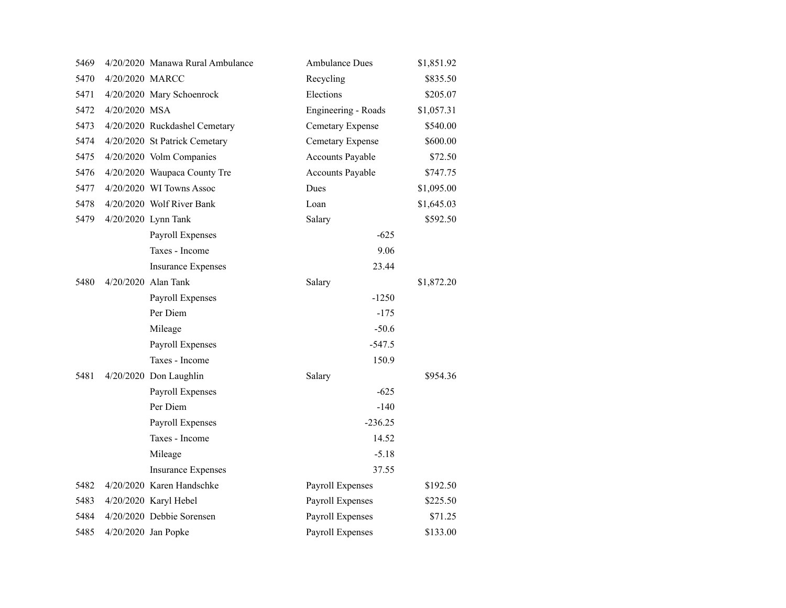| 5469 |                 | 4/20/2020 Manawa Rural Ambulance | <b>Ambulance Dues</b>   | \$1,851.92 |
|------|-----------------|----------------------------------|-------------------------|------------|
| 5470 | 4/20/2020 MARCC |                                  | Recycling               | \$835.50   |
| 5471 |                 | 4/20/2020 Mary Schoenrock        | Elections               | \$205.07   |
| 5472 | 4/20/2020 MSA   |                                  | Engineering - Roads     | \$1,057.31 |
| 5473 |                 | 4/20/2020 Ruckdashel Cemetary    | Cemetary Expense        | \$540.00   |
| 5474 |                 | 4/20/2020 St Patrick Cemetary    | Cemetary Expense        | \$600.00   |
| 5475 |                 | 4/20/2020 Volm Companies         | <b>Accounts Payable</b> | \$72.50    |
| 5476 |                 | 4/20/2020 Waupaca County Tre     | Accounts Payable        | \$747.75   |
| 5477 |                 | $4/20/2020$ WI Towns Assoc       | Dues                    | \$1,095.00 |
| 5478 |                 | 4/20/2020 Wolf River Bank        | Loan                    | \$1,645.03 |
| 5479 |                 | 4/20/2020 Lynn Tank              | Salary                  | \$592.50   |
|      |                 | Payroll Expenses                 | $-625$                  |            |
|      |                 | Taxes - Income                   | 9.06                    |            |
|      |                 | <b>Insurance Expenses</b>        | 23.44                   |            |
| 5480 |                 | 4/20/2020 Alan Tank              | Salary                  | \$1,872.20 |
|      |                 | Payroll Expenses                 | $-1250$                 |            |
|      |                 | Per Diem                         | $-175$                  |            |
|      |                 | Mileage                          | $-50.6$                 |            |
|      |                 | Payroll Expenses                 | $-547.5$                |            |
|      |                 | Taxes - Income                   | 150.9                   |            |
| 5481 |                 | 4/20/2020 Don Laughlin           | Salary                  | \$954.36   |
|      |                 | Payroll Expenses                 | $-625$                  |            |
|      |                 | Per Diem                         | $-140$                  |            |
|      |                 | Payroll Expenses                 | $-236.25$               |            |
|      |                 | Taxes - Income                   | 14.52                   |            |
|      |                 | Mileage                          | $-5.18$                 |            |
|      |                 | <b>Insurance Expenses</b>        | 37.55                   |            |
| 5482 |                 | 4/20/2020 Karen Handschke        | Payroll Expenses        | \$192.50   |
| 5483 |                 | 4/20/2020 Karyl Hebel            | Payroll Expenses        | \$225.50   |
| 5484 |                 | 4/20/2020 Debbie Sorensen        | Payroll Expenses        | \$71.25    |
| 5485 |                 | 4/20/2020 Jan Popke              | Payroll Expenses        | \$133.00   |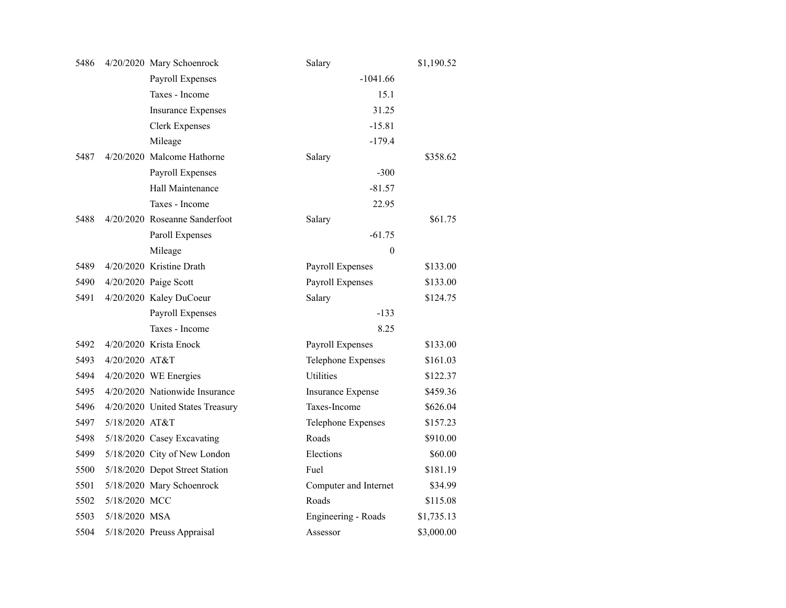| 5486 |                | 4/20/2020 Mary Schoenrock        | Salary                   | \$1,190.52 |
|------|----------------|----------------------------------|--------------------------|------------|
|      |                | Payroll Expenses                 | $-1041.66$               |            |
|      |                | Taxes - Income                   | 15.1                     |            |
|      |                | <b>Insurance Expenses</b>        | 31.25                    |            |
|      |                | <b>Clerk Expenses</b>            | $-15.81$                 |            |
|      |                | Mileage                          | $-179.4$                 |            |
| 5487 |                | 4/20/2020 Malcome Hathorne       | Salary                   | \$358.62   |
|      |                | Payroll Expenses                 | $-300$                   |            |
|      |                | Hall Maintenance                 | $-81.57$                 |            |
|      |                | Taxes - Income                   | 22.95                    |            |
| 5488 |                | 4/20/2020 Roseanne Sanderfoot    | Salary                   | \$61.75    |
|      |                | Paroll Expenses                  | $-61.75$                 |            |
|      |                | Mileage                          | $\overline{0}$           |            |
| 5489 |                | 4/20/2020 Kristine Drath         | Payroll Expenses         | \$133.00   |
| 5490 |                | 4/20/2020 Paige Scott            | Payroll Expenses         | \$133.00   |
| 5491 |                | 4/20/2020 Kaley DuCoeur          | Salary                   | \$124.75   |
|      |                | Payroll Expenses                 | $-133$                   |            |
|      |                | Taxes - Income                   | 8.25                     |            |
| 5492 |                | 4/20/2020 Krista Enock           | <b>Payroll Expenses</b>  | \$133.00   |
| 5493 | 4/20/2020 AT&T |                                  | Telephone Expenses       | \$161.03   |
| 5494 |                | 4/20/2020 WE Energies            | <b>Utilities</b>         | \$122.37   |
| 5495 |                | 4/20/2020 Nationwide Insurance   | <b>Insurance Expense</b> | \$459.36   |
| 5496 |                | 4/20/2020 United States Treasury | Taxes-Income             | \$626.04   |
| 5497 | 5/18/2020 AT&T |                                  | Telephone Expenses       | \$157.23   |
| 5498 |                | 5/18/2020 Casey Excavating       | Roads                    | \$910.00   |
| 5499 |                | 5/18/2020 City of New London     | Elections                | \$60.00    |
| 5500 |                | 5/18/2020 Depot Street Station   | Fuel                     | \$181.19   |
| 5501 |                | 5/18/2020 Mary Schoenrock        | Computer and Internet    | \$34.99    |
| 5502 | 5/18/2020 MCC  |                                  | Roads                    | \$115.08   |
| 5503 | 5/18/2020 MSA  |                                  | Engineering - Roads      | \$1,735.13 |
| 5504 |                | 5/18/2020 Preuss Appraisal       | Assessor                 | \$3,000.00 |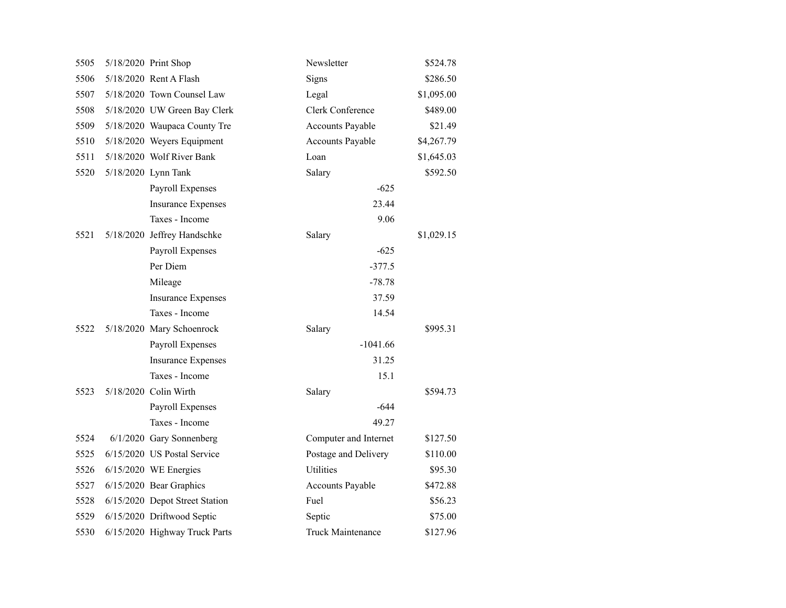| 5505 | 5/18/2020 Print Shop           | Newsletter               | \$524.78   |
|------|--------------------------------|--------------------------|------------|
| 5506 | 5/18/2020 Rent A Flash         | Signs                    | \$286.50   |
| 5507 | 5/18/2020 Town Counsel Law     | Legal                    | \$1,095.00 |
| 5508 | 5/18/2020 UW Green Bay Clerk   | Clerk Conference         | \$489.00   |
| 5509 | 5/18/2020 Waupaca County Tre   | <b>Accounts Payable</b>  | \$21.49    |
| 5510 | 5/18/2020 Weyers Equipment     | Accounts Payable         | \$4,267.79 |
| 5511 | 5/18/2020 Wolf River Bank      | Loan                     | \$1,645.03 |
| 5520 | 5/18/2020 Lynn Tank            | Salary                   | \$592.50   |
|      | Payroll Expenses               | $-625$                   |            |
|      | <b>Insurance Expenses</b>      | 23.44                    |            |
|      | Taxes - Income                 | 9.06                     |            |
| 5521 | 5/18/2020 Jeffrey Handschke    | Salary                   | \$1,029.15 |
|      | Payroll Expenses               | $-625$                   |            |
|      | Per Diem                       | $-377.5$                 |            |
|      | Mileage                        | $-78.78$                 |            |
|      | <b>Insurance Expenses</b>      | 37.59                    |            |
|      | Taxes - Income                 | 14.54                    |            |
| 5522 | 5/18/2020 Mary Schoenrock      | Salary                   | \$995.31   |
|      | Payroll Expenses               | $-1041.66$               |            |
|      | <b>Insurance Expenses</b>      | 31.25                    |            |
|      | Taxes - Income                 | 15.1                     |            |
| 5523 | 5/18/2020 Colin Wirth          | Salary                   | \$594.73   |
|      | Payroll Expenses               | $-644$                   |            |
|      | Taxes - Income                 | 49.27                    |            |
| 5524 | 6/1/2020 Gary Sonnenberg       | Computer and Internet    | \$127.50   |
| 5525 | 6/15/2020 US Postal Service    | Postage and Delivery     | \$110.00   |
| 5526 | $6/15/2020$ WE Energies        | Utilities                | \$95.30    |
| 5527 | 6/15/2020 Bear Graphics        | <b>Accounts Payable</b>  | \$472.88   |
| 5528 | 6/15/2020 Depot Street Station | Fuel                     | \$56.23    |
| 5529 | 6/15/2020 Driftwood Septic     | Septic                   | \$75.00    |
| 5530 | 6/15/2020 Highway Truck Parts  | <b>Truck Maintenance</b> | \$127.96   |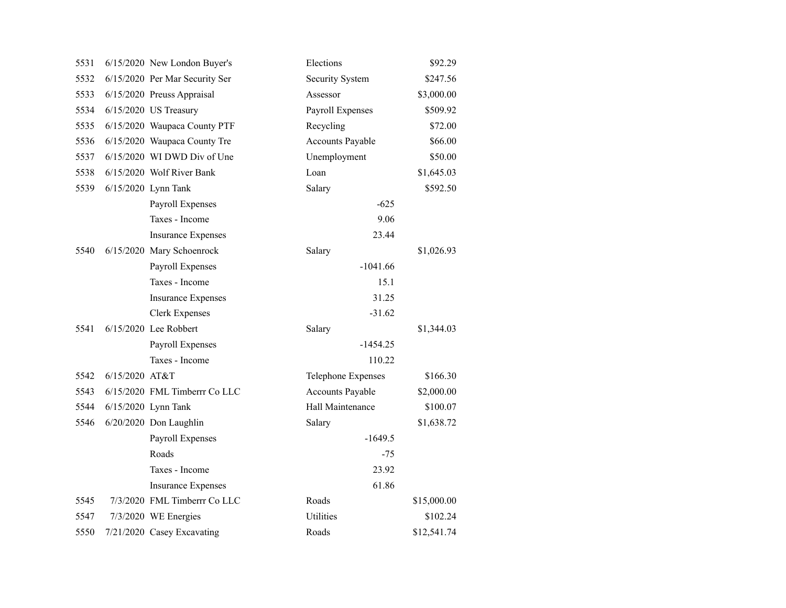| 5531 |                | 6/15/2020 New London Buyer's   | Elections               | \$92.29     |
|------|----------------|--------------------------------|-------------------------|-------------|
| 5532 |                | 6/15/2020 Per Mar Security Ser | Security System         | \$247.56    |
| 5533 |                | 6/15/2020 Preuss Appraisal     | Assessor                | \$3,000.00  |
| 5534 |                | 6/15/2020 US Treasury          | Payroll Expenses        | \$509.92    |
| 5535 |                | 6/15/2020 Waupaca County PTF   | Recycling               | \$72.00     |
| 5536 |                | 6/15/2020 Waupaca County Tre   | Accounts Payable        | \$66.00     |
| 5537 |                | 6/15/2020 WI DWD Div of Une    | Unemployment            | \$50.00     |
| 5538 |                | 6/15/2020 Wolf River Bank      | Loan                    | \$1,645.03  |
| 5539 |                | 6/15/2020 Lynn Tank            | Salary                  | \$592.50    |
|      |                | Payroll Expenses               | $-625$                  |             |
|      |                | Taxes - Income                 | 9.06                    |             |
|      |                | <b>Insurance Expenses</b>      | 23.44                   |             |
| 5540 |                | 6/15/2020 Mary Schoenrock      | Salary                  | \$1,026.93  |
|      |                | Payroll Expenses               | $-1041.66$              |             |
|      |                | Taxes - Income                 | 15.1                    |             |
|      |                | <b>Insurance Expenses</b>      | 31.25                   |             |
|      |                | <b>Clerk Expenses</b>          | $-31.62$                |             |
| 5541 |                | 6/15/2020 Lee Robbert          | Salary                  | \$1,344.03  |
|      |                | Payroll Expenses               | $-1454.25$              |             |
|      |                | Taxes - Income                 | 110.22                  |             |
| 5542 | 6/15/2020 AT&T |                                | Telephone Expenses      | \$166.30    |
| 5543 |                | 6/15/2020 FML Timberrr Co LLC  | <b>Accounts Payable</b> | \$2,000.00  |
| 5544 |                | 6/15/2020 Lynn Tank            | Hall Maintenance        | \$100.07    |
| 5546 |                | 6/20/2020 Don Laughlin         | Salary                  | \$1,638.72  |
|      |                | Payroll Expenses               | $-1649.5$               |             |
|      |                | Roads                          | $-75$                   |             |
|      |                | Taxes - Income                 | 23.92                   |             |
|      |                | <b>Insurance Expenses</b>      | 61.86                   |             |
| 5545 |                | 7/3/2020 FML Timberrr Co LLC   | Roads                   | \$15,000.00 |
| 5547 |                | 7/3/2020 WE Energies           | <b>Utilities</b>        | \$102.24    |
| 5550 |                | 7/21/2020 Casey Excavating     | Roads                   | \$12,541.74 |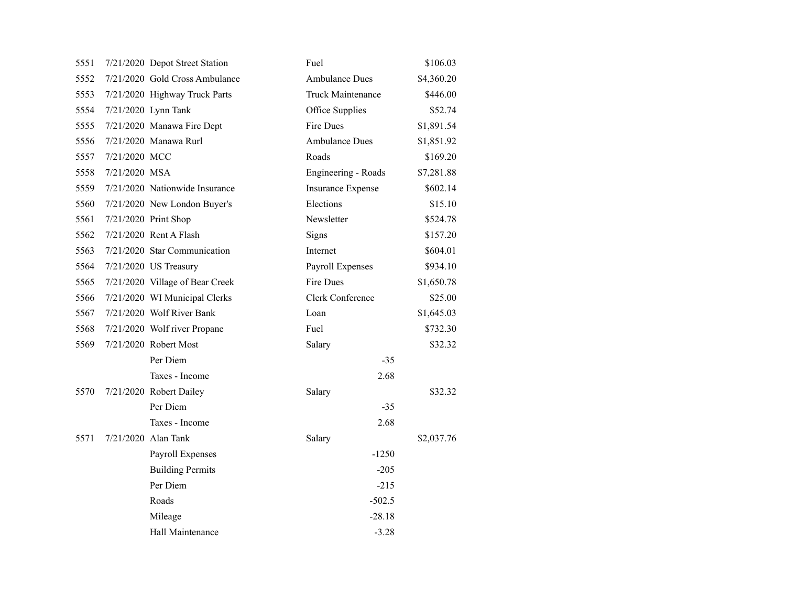| 5551 |               | 7/21/2020 Depot Street Station  | Fuel                              | \$106.03   |
|------|---------------|---------------------------------|-----------------------------------|------------|
| 5552 |               | 7/21/2020 Gold Cross Ambulance  | <b>Ambulance Dues</b>             | \$4,360.20 |
| 5553 |               | 7/21/2020 Highway Truck Parts   | <b>Truck Maintenance</b>          | \$446.00   |
| 5554 |               | 7/21/2020 Lynn Tank             | Office Supplies                   | \$52.74    |
| 5555 |               | 7/21/2020 Manawa Fire Dept      | Fire Dues                         | \$1,891.54 |
| 5556 |               | 7/21/2020 Manawa Rurl           | <b>Ambulance Dues</b>             | \$1,851.92 |
| 5557 | 7/21/2020 MCC |                                 | Roads                             | \$169.20   |
| 5558 | 7/21/2020 MSA |                                 | Engineering - Roads<br>\$7,281.88 |            |
| 5559 |               | 7/21/2020 Nationwide Insurance  | <b>Insurance Expense</b>          | \$602.14   |
| 5560 |               | 7/21/2020 New London Buyer's    | Elections                         | \$15.10    |
| 5561 |               | 7/21/2020 Print Shop            | Newsletter                        | \$524.78   |
| 5562 |               | 7/21/2020 Rent A Flash          | Signs                             | \$157.20   |
| 5563 |               | 7/21/2020 Star Communication    | Internet                          | \$604.01   |
| 5564 |               | 7/21/2020 US Treasury           | Payroll Expenses                  | \$934.10   |
| 5565 |               | 7/21/2020 Village of Bear Creek | Fire Dues                         | \$1,650.78 |
| 5566 |               | 7/21/2020 WI Municipal Clerks   | Clerk Conference                  | \$25.00    |
| 5567 |               | 7/21/2020 Wolf River Bank       | Loan                              | \$1,645.03 |
| 5568 |               | 7/21/2020 Wolf river Propane    | Fuel                              | \$732.30   |
| 5569 |               | 7/21/2020 Robert Most           | Salary                            | \$32.32    |
|      |               | Per Diem                        | $-35$                             |            |
|      |               | Taxes - Income                  | 2.68                              |            |
| 5570 |               | 7/21/2020 Robert Dailey         | Salary                            | \$32.32    |
|      |               | Per Diem                        | $-35$                             |            |
|      |               | Taxes - Income                  | 2.68                              |            |
| 5571 |               | 7/21/2020 Alan Tank             | Salary                            | \$2,037.76 |
|      |               | Payroll Expenses                | $-1250$                           |            |
|      |               | <b>Building Permits</b>         | $-205$                            |            |
|      |               | Per Diem                        | $-215$                            |            |
|      |               | Roads                           | $-502.5$                          |            |
|      |               | Mileage                         | $-28.18$                          |            |
|      |               | Hall Maintenance                | $-3.28$                           |            |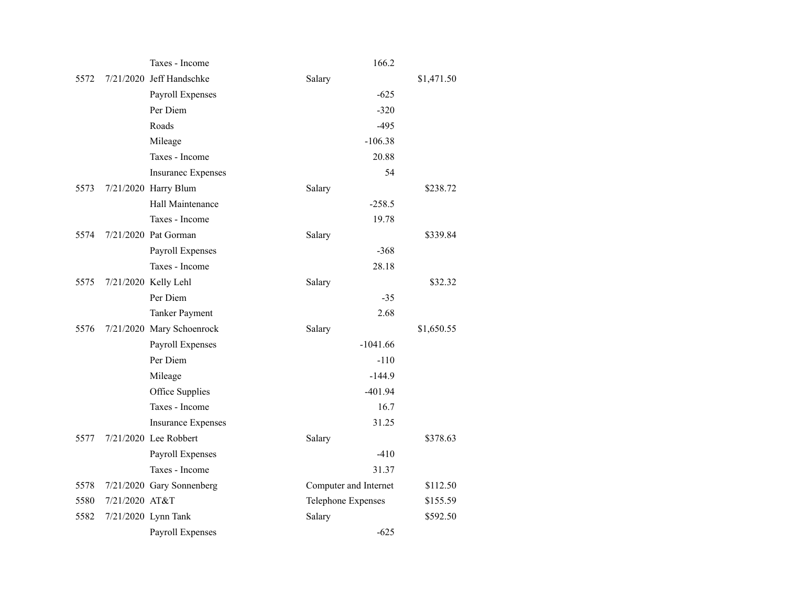|      |                | Taxes - Income            | 166.2                 |            |
|------|----------------|---------------------------|-----------------------|------------|
| 5572 |                | 7/21/2020 Jeff Handschke  | Salary                | \$1,471.50 |
|      |                | Payroll Expenses          | $-625$                |            |
|      |                | Per Diem                  | $-320$                |            |
|      |                | Roads                     | $-495$                |            |
|      |                | Mileage                   | $-106.38$             |            |
|      |                | Taxes - Income            | 20.88                 |            |
|      |                | <b>Insuranec Expenses</b> | 54                    |            |
| 5573 |                | 7/21/2020 Harry Blum      | Salary                | \$238.72   |
|      |                | Hall Maintenance          | $-258.5$              |            |
|      |                | Taxes - Income            | 19.78                 |            |
| 5574 |                | 7/21/2020 Pat Gorman      | Salary                | \$339.84   |
|      |                | Payroll Expenses          | $-368$                |            |
|      |                | Taxes - Income            | 28.18                 |            |
| 5575 |                | 7/21/2020 Kelly Lehl      | Salary                | \$32.32    |
|      |                | Per Diem                  | $-35$                 |            |
|      |                | <b>Tanker Payment</b>     | 2.68                  |            |
| 5576 |                | 7/21/2020 Mary Schoenrock | Salary                | \$1,650.55 |
|      |                | Payroll Expenses          | $-1041.66$            |            |
|      |                | Per Diem                  | $-110$                |            |
|      |                | Mileage                   | $-144.9$              |            |
|      |                | Office Supplies           | $-401.94$             |            |
|      |                | Taxes - Income            | 16.7                  |            |
|      |                | <b>Insurance Expenses</b> | 31.25                 |            |
| 5577 |                | 7/21/2020 Lee Robbert     | Salary                | \$378.63   |
|      |                | Payroll Expenses          | $-410$                |            |
|      |                | Taxes - Income            | 31.37                 |            |
| 5578 |                | 7/21/2020 Gary Sonnenberg | Computer and Internet | \$112.50   |
| 5580 | 7/21/2020 AT&T |                           | Telephone Expenses    | \$155.59   |
| 5582 |                | 7/21/2020 Lynn Tank       | Salary                | \$592.50   |
|      |                | Payroll Expenses          | $-625$                |            |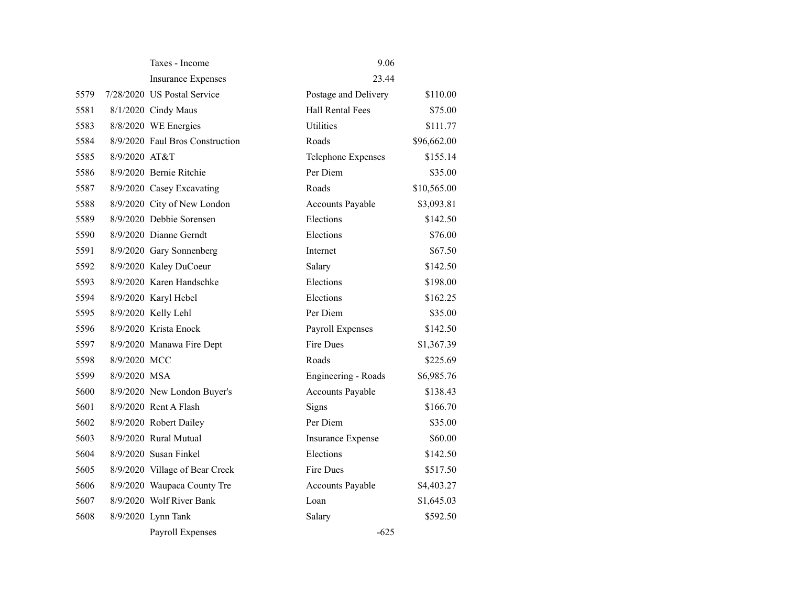|      |               | Taxes - Income                  | 9.06                     |             |
|------|---------------|---------------------------------|--------------------------|-------------|
|      |               | <b>Insurance Expenses</b>       | 23.44                    |             |
| 5579 |               | 7/28/2020 US Postal Service     | Postage and Delivery     | \$110.00    |
| 5581 |               | 8/1/2020 Cindy Maus             | <b>Hall Rental Fees</b>  | \$75.00     |
| 5583 |               | 8/8/2020 WE Energies            | <b>Utilities</b>         | \$111.77    |
| 5584 |               | 8/9/2020 Faul Bros Construction | Roads                    | \$96,662.00 |
| 5585 | 8/9/2020 AT&T |                                 | Telephone Expenses       | \$155.14    |
| 5586 |               | 8/9/2020 Bernie Ritchie         | Per Diem                 | \$35.00     |
| 5587 |               | 8/9/2020 Casey Excavating       | Roads                    | \$10,565.00 |
| 5588 |               | 8/9/2020 City of New London     | <b>Accounts Payable</b>  | \$3,093.81  |
| 5589 |               | 8/9/2020 Debbie Sorensen        | Elections                | \$142.50    |
| 5590 |               | 8/9/2020 Dianne Gerndt          | Elections                | \$76.00     |
| 5591 |               | 8/9/2020 Gary Sonnenberg        | Internet                 | \$67.50     |
| 5592 |               | 8/9/2020 Kaley DuCoeur          | Salary                   | \$142.50    |
| 5593 |               | 8/9/2020 Karen Handschke        | Elections                | \$198.00    |
| 5594 |               | 8/9/2020 Karyl Hebel            | Elections                | \$162.25    |
| 5595 |               | 8/9/2020 Kelly Lehl             | Per Diem                 | \$35.00     |
| 5596 |               | 8/9/2020 Krista Enock           | Payroll Expenses         | \$142.50    |
| 5597 |               | 8/9/2020 Manawa Fire Dept       | <b>Fire Dues</b>         | \$1,367.39  |
| 5598 | 8/9/2020 MCC  |                                 | Roads                    | \$225.69    |
| 5599 | 8/9/2020 MSA  |                                 | Engineering - Roads      | \$6,985.76  |
| 5600 |               | 8/9/2020 New London Buyer's     | Accounts Payable         | \$138.43    |
| 5601 |               | 8/9/2020 Rent A Flash           | Signs                    | \$166.70    |
| 5602 |               | 8/9/2020 Robert Dailey          | Per Diem                 | \$35.00     |
| 5603 |               | 8/9/2020 Rural Mutual           | <b>Insurance Expense</b> | \$60.00     |
| 5604 |               | 8/9/2020 Susan Finkel           | Elections                | \$142.50    |
| 5605 |               | 8/9/2020 Village of Bear Creek  | Fire Dues                | \$517.50    |
| 5606 |               | 8/9/2020 Waupaca County Tre     | <b>Accounts Payable</b>  | \$4,403.27  |
| 5607 |               | 8/9/2020 Wolf River Bank        | Loan                     | \$1,645.03  |
| 5608 |               | 8/9/2020 Lynn Tank              | Salary                   | \$592.50    |
|      |               | Payroll Expenses                | $-625$                   |             |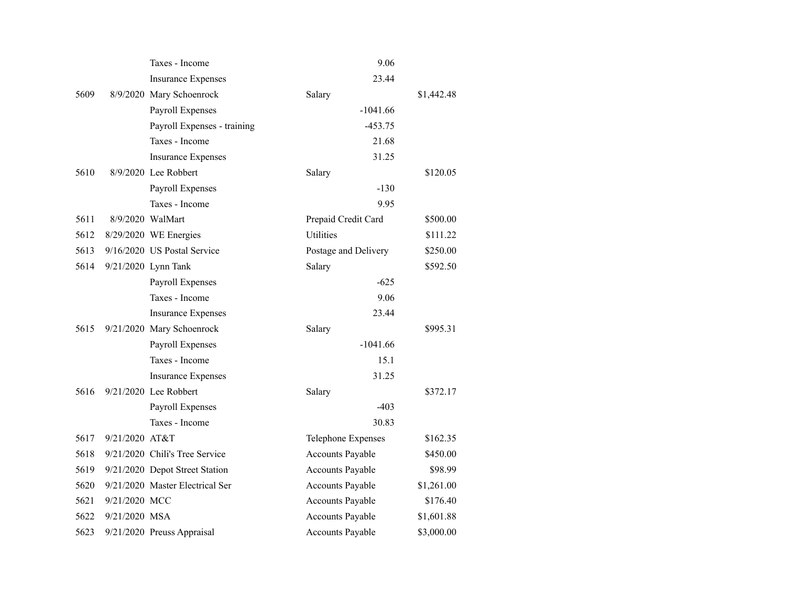|      |                | Taxes - Income                  | 9.06                    |            |
|------|----------------|---------------------------------|-------------------------|------------|
|      |                | <b>Insurance Expenses</b>       | 23.44                   |            |
| 5609 |                | 8/9/2020 Mary Schoenrock        | Salary                  | \$1,442.48 |
|      |                | Payroll Expenses                | $-1041.66$              |            |
|      |                | Payroll Expenses - training     | $-453.75$               |            |
|      |                | Taxes - Income                  | 21.68                   |            |
|      |                | <b>Insurance Expenses</b>       | 31.25                   |            |
| 5610 |                | 8/9/2020 Lee Robbert            | Salary                  | \$120.05   |
|      |                | <b>Payroll Expenses</b>         | $-130$                  |            |
|      |                | Taxes - Income                  | 9.95                    |            |
| 5611 |                | 8/9/2020 WalMart                | Prepaid Credit Card     | \$500.00   |
| 5612 |                | 8/29/2020 WE Energies           | <b>Utilities</b>        | \$111.22   |
| 5613 |                | 9/16/2020 US Postal Service     | Postage and Delivery    | \$250.00   |
| 5614 |                | 9/21/2020 Lynn Tank             | Salary                  | \$592.50   |
|      |                | Payroll Expenses                | $-625$                  |            |
|      |                | Taxes - Income                  | 9.06                    |            |
|      |                | <b>Insurance Expenses</b>       | 23.44                   |            |
| 5615 |                | 9/21/2020 Mary Schoenrock       | Salary                  | \$995.31   |
|      |                | <b>Payroll Expenses</b>         | $-1041.66$              |            |
|      |                | Taxes - Income                  | 15.1                    |            |
|      |                | <b>Insurance Expenses</b>       | 31.25                   |            |
| 5616 |                | 9/21/2020 Lee Robbert           | Salary                  | \$372.17   |
|      |                | <b>Payroll Expenses</b>         | $-403$                  |            |
|      |                | Taxes - Income                  | 30.83                   |            |
| 5617 | 9/21/2020 AT&T |                                 | Telephone Expenses      | \$162.35   |
| 5618 |                | 9/21/2020 Chili's Tree Service  | <b>Accounts Payable</b> | \$450.00   |
| 5619 |                | 9/21/2020 Depot Street Station  | <b>Accounts Payable</b> | \$98.99    |
| 5620 |                | 9/21/2020 Master Electrical Ser | <b>Accounts Payable</b> | \$1,261.00 |
| 5621 | 9/21/2020 MCC  |                                 | <b>Accounts Payable</b> | \$176.40   |
| 5622 | 9/21/2020 MSA  |                                 | <b>Accounts Payable</b> | \$1,601.88 |
| 5623 |                | 9/21/2020 Preuss Appraisal      | <b>Accounts Payable</b> | \$3,000.00 |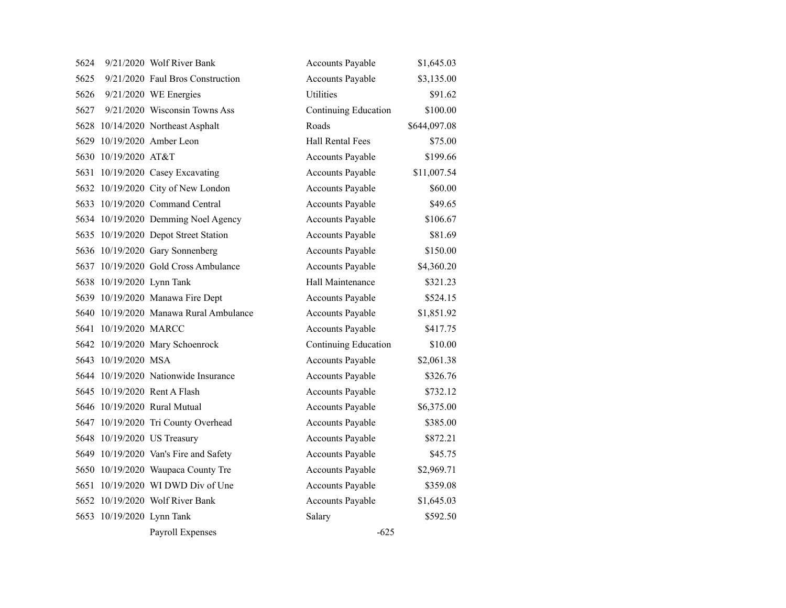| 5624 |                           | 9/21/2020 Wolf River Bank              | Accounts Payable        | \$1,645.03   |
|------|---------------------------|----------------------------------------|-------------------------|--------------|
| 5625 |                           | 9/21/2020 Faul Bros Construction       | <b>Accounts Payable</b> | \$3,135.00   |
| 5626 |                           | 9/21/2020 WE Energies                  | Utilities               | \$91.62      |
| 5627 |                           | 9/21/2020 Wisconsin Towns Ass          | Continuing Education    | \$100.00     |
|      |                           | 5628 10/14/2020 Northeast Asphalt      | Roads                   | \$644,097.08 |
| 5629 |                           | 10/19/2020 Amber Leon                  | <b>Hall Rental Fees</b> | \$75.00      |
|      | 5630 10/19/2020 AT&T      |                                        | <b>Accounts Payable</b> | \$199.66     |
|      |                           | 5631 10/19/2020 Casey Excavating       | <b>Accounts Payable</b> | \$11,007.54  |
|      |                           | 5632 10/19/2020 City of New London     | <b>Accounts Payable</b> | \$60.00      |
|      |                           | 5633 10/19/2020 Command Central        | <b>Accounts Payable</b> | \$49.65      |
|      |                           | 5634 10/19/2020 Demming Noel Agency    | <b>Accounts Payable</b> | \$106.67     |
|      |                           | 5635 10/19/2020 Depot Street Station   | <b>Accounts Payable</b> | \$81.69      |
|      |                           | 5636 10/19/2020 Gary Sonnenberg        | <b>Accounts Payable</b> | \$150.00     |
|      |                           | 5637 10/19/2020 Gold Cross Ambulance   | Accounts Payable        | \$4,360.20   |
|      | 5638 10/19/2020 Lynn Tank |                                        | Hall Maintenance        | \$321.23     |
|      |                           | 5639 10/19/2020 Manawa Fire Dept       | <b>Accounts Payable</b> | \$524.15     |
|      |                           | 5640 10/19/2020 Manawa Rural Ambulance | Accounts Payable        | \$1,851.92   |
|      | 5641 10/19/2020 MARCC     |                                        | <b>Accounts Payable</b> | \$417.75     |
|      |                           | 5642 10/19/2020 Mary Schoenrock        | Continuing Education    | \$10.00      |
|      | 5643 10/19/2020 MSA       |                                        | <b>Accounts Payable</b> | \$2,061.38   |
|      |                           | 5644 10/19/2020 Nationwide Insurance   | <b>Accounts Payable</b> | \$326.76     |
| 5645 |                           | 10/19/2020 Rent A Flash                | <b>Accounts Payable</b> | \$732.12     |
|      |                           | 5646 10/19/2020 Rural Mutual           | Accounts Payable        | \$6,375.00   |
|      |                           | 5647 10/19/2020 Tri County Overhead    | <b>Accounts Payable</b> | \$385.00     |
|      |                           | 5648 10/19/2020 US Treasury            | <b>Accounts Payable</b> | \$872.21     |
|      |                           | 5649 10/19/2020 Van's Fire and Safety  | <b>Accounts Payable</b> | \$45.75      |
|      |                           | 5650 10/19/2020 Waupaca County Tre     | Accounts Payable        | \$2,969.71   |
|      |                           | 5651 10/19/2020 WI DWD Div of Une      | <b>Accounts Payable</b> | \$359.08     |
|      |                           | 5652 10/19/2020 Wolf River Bank        | <b>Accounts Payable</b> | \$1,645.03   |
| 5653 | 10/19/2020 Lynn Tank      |                                        | Salary                  | \$592.50     |
|      |                           | Payroll Expenses                       | $-625$                  |              |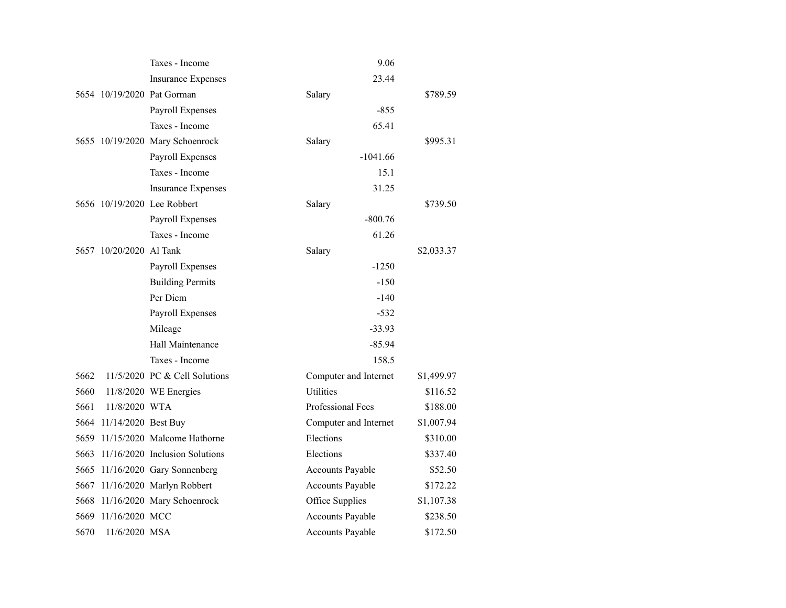|      |                          | Taxes - Income                  | 9.06                    |            |
|------|--------------------------|---------------------------------|-------------------------|------------|
|      |                          | <b>Insurance Expenses</b>       | 23.44                   |            |
|      |                          | 5654 10/19/2020 Pat Gorman      | Salary                  | \$789.59   |
|      |                          | Payroll Expenses                | $-855$                  |            |
|      |                          | Taxes - Income                  | 65.41                   |            |
|      |                          | 5655 10/19/2020 Mary Schoenrock | Salary                  | \$995.31   |
|      |                          | Payroll Expenses                | $-1041.66$              |            |
|      |                          | Taxes - Income                  | 15.1                    |            |
|      |                          | <b>Insurance Expenses</b>       | 31.25                   |            |
|      |                          | 5656 10/19/2020 Lee Robbert     | Salary                  | \$739.50   |
|      |                          | Payroll Expenses                | $-800.76$               |            |
|      |                          | Taxes - Income                  | 61.26                   |            |
|      | 5657 10/20/2020 Al Tank  |                                 | Salary                  | \$2,033.37 |
|      |                          | Payroll Expenses                | $-1250$                 |            |
|      |                          | <b>Building Permits</b>         | $-150$                  |            |
|      |                          | Per Diem                        | $-140$                  |            |
|      |                          | Payroll Expenses                | $-532$                  |            |
|      |                          | Mileage                         | $-33.93$                |            |
|      |                          | Hall Maintenance                | $-85.94$                |            |
|      |                          | Taxes - Income                  | 158.5                   |            |
| 5662 |                          | 11/5/2020 PC & Cell Solutions   | Computer and Internet   | \$1,499.97 |
| 5660 |                          | 11/8/2020 WE Energies           | <b>Utilities</b>        | \$116.52   |
| 5661 | 11/8/2020 WTA            |                                 | Professional Fees       | \$188.00   |
|      | 5664 11/14/2020 Best Buy |                                 | Computer and Internet   | \$1,007.94 |
| 5659 |                          | 11/15/2020 Malcome Hathorne     | Elections               | \$310.00   |
| 5663 |                          | 11/16/2020 Inclusion Solutions  | Elections               | \$337.40   |
|      |                          | 5665 11/16/2020 Gary Sonnenberg | <b>Accounts Payable</b> | \$52.50    |
|      |                          | 5667 11/16/2020 Marlyn Robbert  | <b>Accounts Payable</b> | \$172.22   |
| 5668 |                          | 11/16/2020 Mary Schoenrock      | Office Supplies         | \$1,107.38 |
| 5669 | 11/16/2020 MCC           |                                 | <b>Accounts Payable</b> | \$238.50   |
| 5670 | 11/6/2020 MSA            |                                 | <b>Accounts Payable</b> | \$172.50   |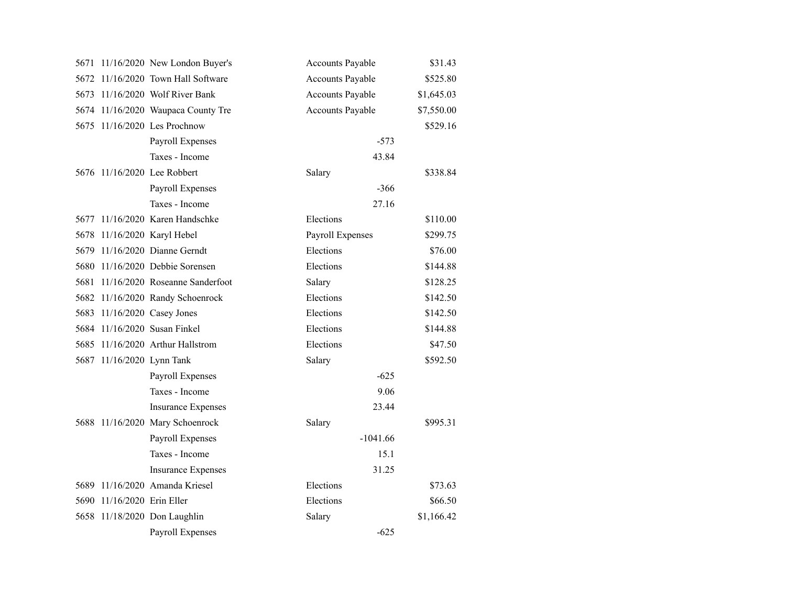|      |                           | 5671 11/16/2020 New London Buyer's  | <b>Accounts Payable</b> | \$31.43    |
|------|---------------------------|-------------------------------------|-------------------------|------------|
| 5672 |                           | 11/16/2020 Town Hall Software       | <b>Accounts Payable</b> | \$525.80   |
|      |                           | 5673 11/16/2020 Wolf River Bank     | <b>Accounts Payable</b> | \$1,645.03 |
|      |                           | 5674 11/16/2020 Waupaca County Tre  | Accounts Payable        | \$7,550.00 |
|      |                           | 5675 11/16/2020 Les Prochnow        |                         | \$529.16   |
|      |                           | Payroll Expenses                    | $-573$                  |            |
|      |                           | Taxes - Income                      | 43.84                   |            |
|      |                           | 5676 11/16/2020 Lee Robbert         | Salary                  | \$338.84   |
|      |                           | Payroll Expenses                    | $-366$                  |            |
|      |                           | Taxes - Income                      | 27.16                   |            |
|      |                           | 5677 11/16/2020 Karen Handschke     | Elections               | \$110.00   |
|      |                           | 5678 11/16/2020 Karyl Hebel         | Payroll Expenses        | \$299.75   |
|      |                           | 5679 11/16/2020 Dianne Gerndt       | Elections               | \$76.00    |
|      |                           | 5680 11/16/2020 Debbie Sorensen     | Elections               | \$144.88   |
|      |                           | 5681 11/16/2020 Roseanne Sanderfoot | Salary                  | \$128.25   |
|      |                           | 5682 11/16/2020 Randy Schoenrock    | Elections               | \$142.50   |
| 5683 |                           | 11/16/2020 Casey Jones              | Elections               | \$142.50   |
|      |                           | 5684 11/16/2020 Susan Finkel        | Elections               | \$144.88   |
| 5685 |                           | 11/16/2020 Arthur Hallstrom         | Elections               | \$47.50    |
|      | 5687 11/16/2020 Lynn Tank |                                     | Salary                  | \$592.50   |
|      |                           | Payroll Expenses                    | $-625$                  |            |
|      |                           | Taxes - Income                      | 9.06                    |            |
|      |                           | <b>Insurance Expenses</b>           | 23.44                   |            |
|      |                           | 5688 11/16/2020 Mary Schoenrock     | Salary                  | \$995.31   |
|      |                           | Payroll Expenses                    | $-1041.66$              |            |
|      |                           | Taxes - Income                      | 15.1                    |            |
|      |                           | <b>Insurance Expenses</b>           | 31.25                   |            |
|      |                           | 5689 11/16/2020 Amanda Kriesel      | Elections               | \$73.63    |
| 5690 | 11/16/2020 Erin Eller     |                                     | Elections               | \$66.50    |
|      |                           | 5658 11/18/2020 Don Laughlin        | Salary                  | \$1,166.42 |
|      |                           | Payroll Expenses                    | $-625$                  |            |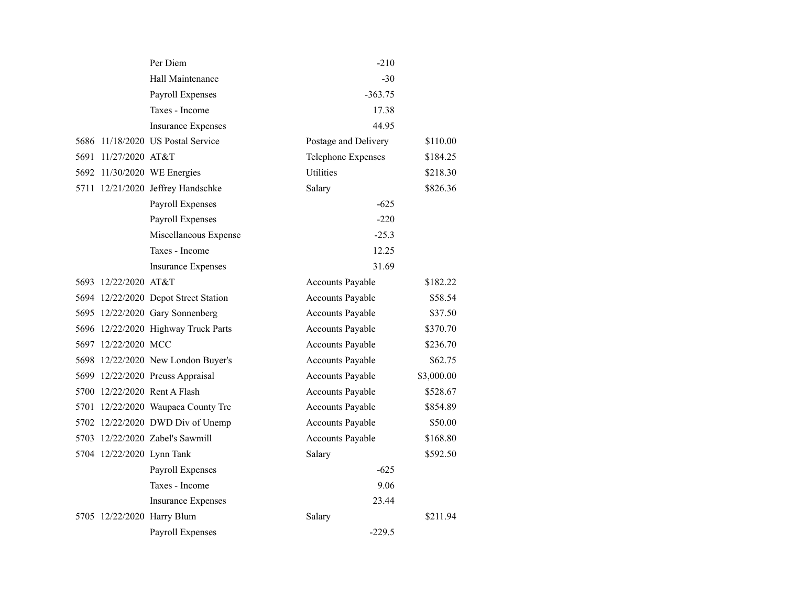|                           | Per Diem                             | $-210$                  |            |
|---------------------------|--------------------------------------|-------------------------|------------|
|                           | Hall Maintenance                     | $-30$                   |            |
|                           | Payroll Expenses                     | $-363.75$               |            |
|                           | Taxes - Income                       | 17.38                   |            |
|                           | <b>Insurance Expenses</b>            | 44.95                   |            |
|                           | 5686 11/18/2020 US Postal Service    | Postage and Delivery    | \$110.00   |
| 5691 11/27/2020 AT&T      |                                      | Telephone Expenses      | \$184.25   |
|                           | 5692 11/30/2020 WE Energies          | <b>Utilities</b>        | \$218.30   |
|                           | 5711 12/21/2020 Jeffrey Handschke    | Salary                  | \$826.36   |
|                           | Payroll Expenses                     | $-625$                  |            |
|                           | Payroll Expenses                     | $-220$                  |            |
|                           | Miscellaneous Expense                | $-25.3$                 |            |
|                           | Taxes - Income                       | 12.25                   |            |
|                           | <b>Insurance Expenses</b>            | 31.69                   |            |
| 5693 12/22/2020 AT&T      |                                      | <b>Accounts Payable</b> | \$182.22   |
|                           | 5694 12/22/2020 Depot Street Station | Accounts Payable        | \$58.54    |
|                           | 5695 12/22/2020 Gary Sonnenberg      | Accounts Payable        | \$37.50    |
|                           | 5696 12/22/2020 Highway Truck Parts  | Accounts Payable        | \$370.70   |
| 5697 12/22/2020 MCC       |                                      | Accounts Payable        | \$236.70   |
|                           | 5698 12/22/2020 New London Buyer's   | <b>Accounts Payable</b> | \$62.75    |
|                           | 5699 12/22/2020 Preuss Appraisal     | Accounts Payable        | \$3,000.00 |
|                           | 5700 12/22/2020 Rent A Flash         | Accounts Payable        | \$528.67   |
|                           | 5701 12/22/2020 Waupaca County Tre   | Accounts Payable        | \$854.89   |
|                           | 5702 12/22/2020 DWD Div of Unemp     | Accounts Payable        | \$50.00    |
|                           | 5703 12/22/2020 Zabel's Sawmill      | <b>Accounts Payable</b> | \$168.80   |
| 5704 12/22/2020 Lynn Tank |                                      | Salary                  | \$592.50   |
|                           | Payroll Expenses                     | $-625$                  |            |
|                           | Taxes - Income                       | 9.06                    |            |
|                           | <b>Insurance Expenses</b>            | 23.44                   |            |
|                           | 5705 12/22/2020 Harry Blum           | Salary                  | \$211.94   |
|                           | <b>Payroll Expenses</b>              | $-229.5$                |            |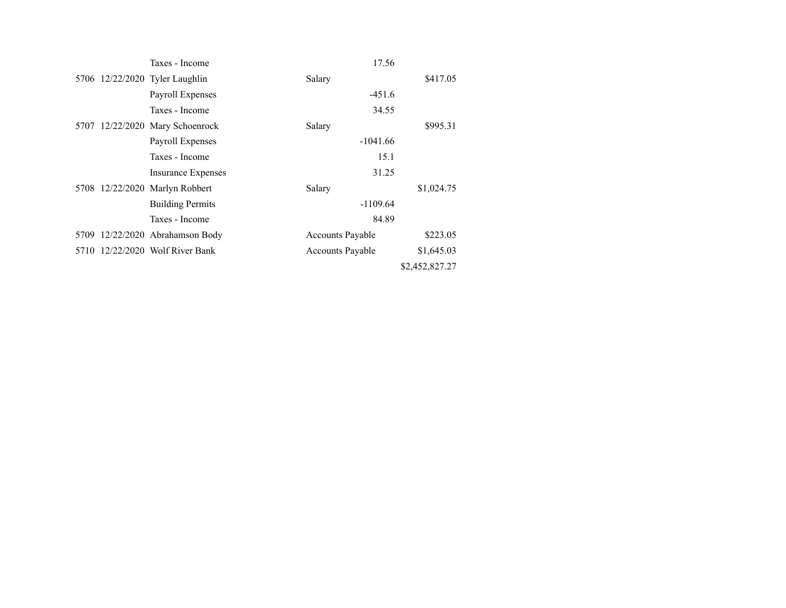|                                | Taxes - Income                  | 17.56                   |                |
|--------------------------------|---------------------------------|-------------------------|----------------|
| 5706 12/22/2020 Tyler Laughlin |                                 | Salary                  | \$417.05       |
|                                | Payroll Expenses                | $-451.6$                |                |
|                                | Taxes - Income                  | 34.55                   |                |
|                                | 5707 12/22/2020 Mary Schoenrock | Salary                  | \$995.31       |
|                                | Payroll Expenses                | $-1041.66$              |                |
|                                | Taxes - Income                  | 15.1                    |                |
|                                | <b>Insurance Expenses</b>       | 31.25                   |                |
| 5708 12/22/2020 Marlyn Robbert |                                 | Salary                  | \$1,024.75     |
|                                | <b>Building Permits</b>         | $-1109.64$              |                |
|                                | Taxes - Income                  | 84.89                   |                |
|                                | 5709 12/22/2020 Abrahamson Body | <b>Accounts Payable</b> | \$223.05       |
|                                | 5710 12/22/2020 Wolf River Bank | <b>Accounts Payable</b> | \$1,645.03     |
|                                |                                 |                         | \$2,452,827.27 |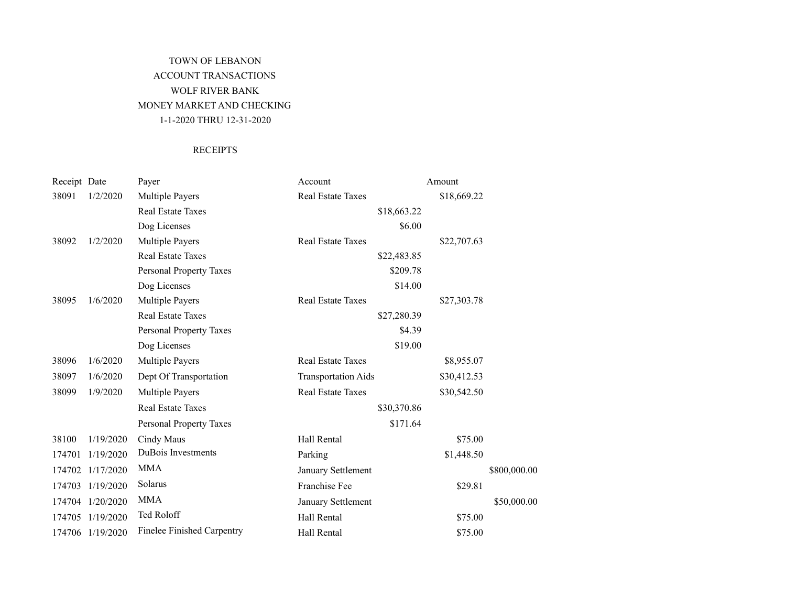# TOWN OF LEBANON ACCOUNT TRANSACTIONS WOLF RIVER BANK MONEY MARKET AND CHECKING 1-1-2020 THRU 12-31-2020

### **RECEIPTS**

| Receipt Date |                  | Payer                             | Account                    | Amount      |              |
|--------------|------------------|-----------------------------------|----------------------------|-------------|--------------|
| 38091        | 1/2/2020         | <b>Multiple Payers</b>            | <b>Real Estate Taxes</b>   | \$18,669.22 |              |
|              |                  | <b>Real Estate Taxes</b>          | \$18,663.22                |             |              |
|              |                  | Dog Licenses                      | \$6.00                     |             |              |
| 38092        | 1/2/2020         | <b>Multiple Payers</b>            | Real Estate Taxes          | \$22,707.63 |              |
|              |                  | <b>Real Estate Taxes</b>          | \$22,483.85                |             |              |
|              |                  | <b>Personal Property Taxes</b>    | \$209.78                   |             |              |
|              |                  | Dog Licenses                      | \$14.00                    |             |              |
| 38095        | 1/6/2020         | <b>Multiple Payers</b>            | <b>Real Estate Taxes</b>   | \$27,303.78 |              |
|              |                  | <b>Real Estate Taxes</b>          | \$27,280.39                |             |              |
|              |                  | Personal Property Taxes           | \$4.39                     |             |              |
|              |                  | Dog Licenses                      | \$19.00                    |             |              |
| 38096        | 1/6/2020         | <b>Multiple Payers</b>            | <b>Real Estate Taxes</b>   | \$8,955.07  |              |
| 38097        | 1/6/2020         | Dept Of Transportation            | <b>Transportation Aids</b> | \$30,412.53 |              |
| 38099        | 1/9/2020         | Multiple Payers                   | <b>Real Estate Taxes</b>   | \$30,542.50 |              |
|              |                  | <b>Real Estate Taxes</b>          | \$30,370.86                |             |              |
|              |                  | <b>Personal Property Taxes</b>    | \$171.64                   |             |              |
| 38100        | 1/19/2020        | Cindy Maus                        | Hall Rental                | \$75.00     |              |
| 174701       | 1/19/2020        | DuBois Investments                | Parking                    | \$1,448.50  |              |
| 174702       | 1/17/2020        | <b>MMA</b>                        | January Settlement         |             | \$800,000.00 |
| 174703       | 1/19/2020        | Solarus                           | Franchise Fee              | \$29.81     |              |
|              | 174704 1/20/2020 | <b>MMA</b>                        | January Settlement         |             | \$50,000.00  |
| 174705       | 1/19/2020        | Ted Roloff                        | Hall Rental                | \$75.00     |              |
|              | 174706 1/19/2020 | <b>Finelee Finished Carpentry</b> | Hall Rental                | \$75.00     |              |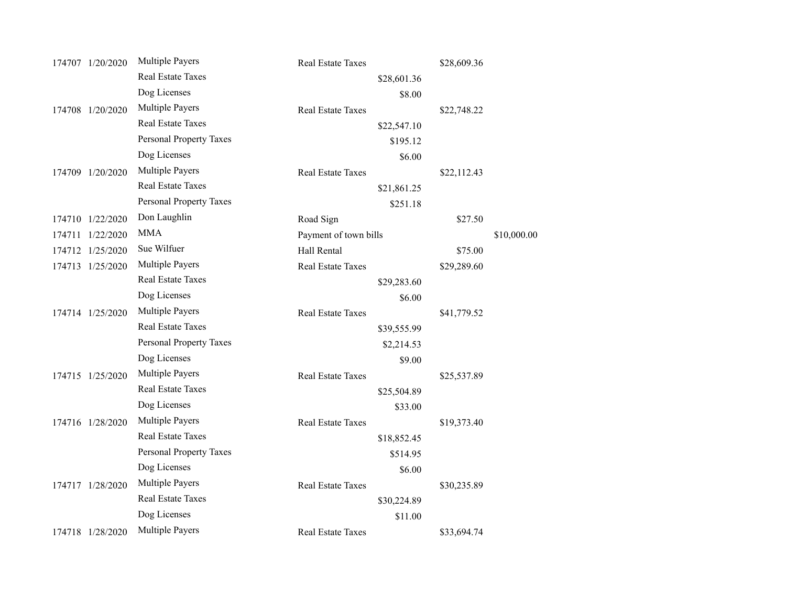| 174707 1/20/2020    | <b>Multiple Payers</b>         | <b>Real Estate Taxes</b> | \$28,609.36 |             |
|---------------------|--------------------------------|--------------------------|-------------|-------------|
|                     | Real Estate Taxes              | \$28,601.36              |             |             |
|                     | Dog Licenses                   | \$8.00                   |             |             |
| 174708 1/20/2020    | Multiple Payers                | <b>Real Estate Taxes</b> | \$22,748.22 |             |
|                     | <b>Real Estate Taxes</b>       | \$22,547.10              |             |             |
|                     | <b>Personal Property Taxes</b> | \$195.12                 |             |             |
|                     | Dog Licenses                   | \$6.00                   |             |             |
| 174709 1/20/2020    | <b>Multiple Payers</b>         | <b>Real Estate Taxes</b> | \$22,112.43 |             |
|                     | <b>Real Estate Taxes</b>       | \$21,861.25              |             |             |
|                     | Personal Property Taxes        | \$251.18                 |             |             |
| 174710 1/22/2020    | Don Laughlin                   | Road Sign                | \$27.50     |             |
| 1/22/2020<br>174711 | <b>MMA</b>                     | Payment of town bills    |             | \$10,000.00 |
| 174712 1/25/2020    | Sue Wilfuer                    | Hall Rental              | \$75.00     |             |
| 174713 1/25/2020    | <b>Multiple Payers</b>         | <b>Real Estate Taxes</b> | \$29,289.60 |             |
|                     | <b>Real Estate Taxes</b>       | \$29,283.60              |             |             |
|                     | Dog Licenses                   | \$6.00                   |             |             |
| 174714 1/25/2020    | Multiple Payers                | Real Estate Taxes        | \$41,779.52 |             |
|                     | <b>Real Estate Taxes</b>       | \$39,555.99              |             |             |
|                     | Personal Property Taxes        | \$2,214.53               |             |             |
|                     | Dog Licenses                   | \$9.00                   |             |             |
| 174715 1/25/2020    | <b>Multiple Payers</b>         | <b>Real Estate Taxes</b> | \$25,537.89 |             |
|                     | <b>Real Estate Taxes</b>       | \$25,504.89              |             |             |
|                     | Dog Licenses                   | \$33.00                  |             |             |
| 174716 1/28/2020    | Multiple Payers                | Real Estate Taxes        | \$19,373.40 |             |
|                     | <b>Real Estate Taxes</b>       | \$18,852.45              |             |             |
|                     | Personal Property Taxes        | \$514.95                 |             |             |
|                     | Dog Licenses                   | \$6.00                   |             |             |
| 174717 1/28/2020    | <b>Multiple Payers</b>         | <b>Real Estate Taxes</b> | \$30,235.89 |             |
|                     | Real Estate Taxes              | \$30,224.89              |             |             |
|                     | Dog Licenses                   | \$11.00                  |             |             |
| 174718 1/28/2020    | Multiple Payers                | <b>Real Estate Taxes</b> | \$33,694.74 |             |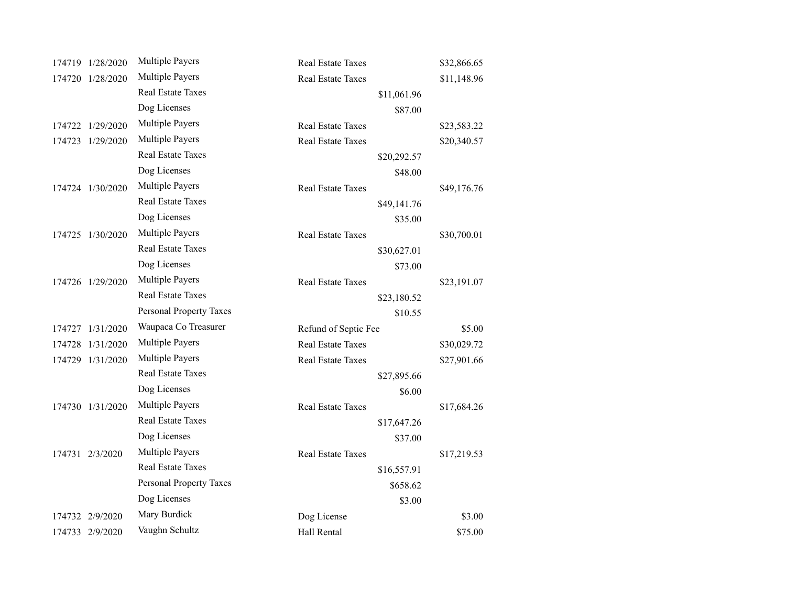|        | 174719 1/28/2020 | Multiple Payers          | <b>Real Estate Taxes</b> | \$32,866.65 |
|--------|------------------|--------------------------|--------------------------|-------------|
|        | 174720 1/28/2020 | <b>Multiple Payers</b>   | <b>Real Estate Taxes</b> | \$11,148.96 |
|        |                  | Real Estate Taxes        | \$11,061.96              |             |
|        |                  | Dog Licenses             | \$87.00                  |             |
| 174722 | 1/29/2020        | Multiple Payers          | <b>Real Estate Taxes</b> | \$23,583.22 |
|        | 174723 1/29/2020 | <b>Multiple Payers</b>   | Real Estate Taxes        | \$20,340.57 |
|        |                  | Real Estate Taxes        | \$20,292.57              |             |
|        |                  | Dog Licenses             | \$48.00                  |             |
|        | 174724 1/30/2020 | <b>Multiple Payers</b>   | Real Estate Taxes        | \$49,176.76 |
|        |                  | <b>Real Estate Taxes</b> | \$49,141.76              |             |
|        |                  | Dog Licenses             | \$35.00                  |             |
|        | 174725 1/30/2020 | Multiple Payers          | Real Estate Taxes        | \$30,700.01 |
|        |                  | <b>Real Estate Taxes</b> | \$30,627.01              |             |
|        |                  | Dog Licenses             | \$73.00                  |             |
|        | 174726 1/29/2020 | <b>Multiple Payers</b>   | Real Estate Taxes        | \$23,191.07 |
|        |                  | Real Estate Taxes        | \$23,180.52              |             |
|        |                  | Personal Property Taxes  | \$10.55                  |             |
|        | 174727 1/31/2020 | Waupaca Co Treasurer     | Refund of Septic Fee     | \$5.00      |
| 174728 | 1/31/2020        | Multiple Payers          | <b>Real Estate Taxes</b> | \$30,029.72 |
|        | 174729 1/31/2020 | <b>Multiple Payers</b>   | Real Estate Taxes        | \$27,901.66 |
|        |                  | <b>Real Estate Taxes</b> | \$27,895.66              |             |
|        |                  | Dog Licenses             | \$6.00                   |             |
|        | 174730 1/31/2020 | <b>Multiple Payers</b>   | <b>Real Estate Taxes</b> | \$17,684.26 |
|        |                  | <b>Real Estate Taxes</b> | \$17,647.26              |             |
|        |                  | Dog Licenses             | \$37.00                  |             |
|        | 174731 2/3/2020  | Multiple Payers          | <b>Real Estate Taxes</b> | \$17,219.53 |
|        |                  | <b>Real Estate Taxes</b> | \$16,557.91              |             |
|        |                  | Personal Property Taxes  | \$658.62                 |             |
|        |                  | Dog Licenses             | \$3.00                   |             |
|        | 174732 2/9/2020  | Mary Burdick             | Dog License              | \$3.00      |
|        | 174733 2/9/2020  | Vaughn Schultz           | Hall Rental              | \$75.00     |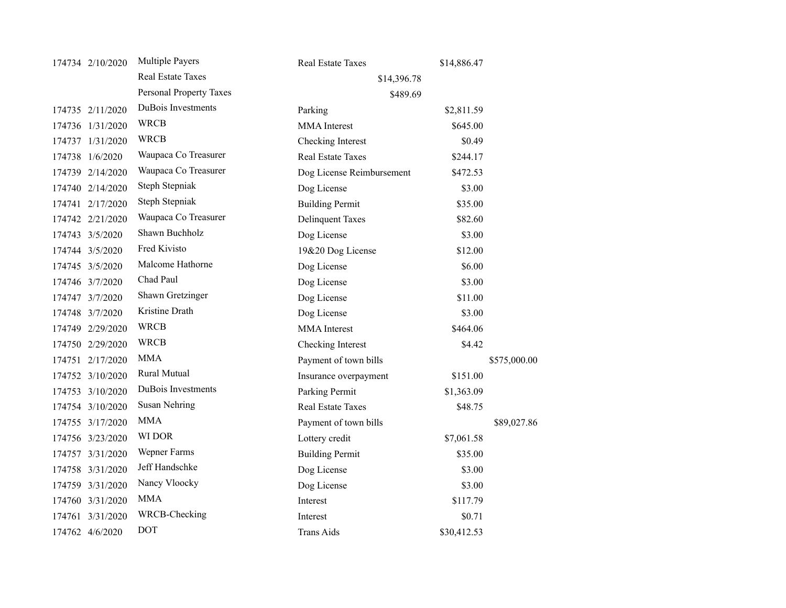| 174734 2/10/2020 | Multiple Payers         | <b>Real Estate Taxes</b>  | \$14,886.47 |              |
|------------------|-------------------------|---------------------------|-------------|--------------|
|                  | Real Estate Taxes       | \$14,396.78               |             |              |
|                  | Personal Property Taxes | \$489.69                  |             |              |
| 174735 2/11/2020 | DuBois Investments      | Parking                   | \$2,811.59  |              |
| 174736 1/31/2020 | <b>WRCB</b>             | <b>MMA</b> Interest       | \$645.00    |              |
| 174737 1/31/2020 | <b>WRCB</b>             | Checking Interest         | \$0.49      |              |
| 174738 1/6/2020  | Waupaca Co Treasurer    | <b>Real Estate Taxes</b>  | \$244.17    |              |
| 174739 2/14/2020 | Waupaca Co Treasurer    | Dog License Reimbursement | \$472.53    |              |
| 174740 2/14/2020 | Steph Stepniak          | Dog License               | \$3.00      |              |
| 174741 2/17/2020 | Steph Stepniak          | <b>Building Permit</b>    | \$35.00     |              |
| 174742 2/21/2020 | Waupaca Co Treasurer    | <b>Delinquent Taxes</b>   | \$82.60     |              |
| 174743 3/5/2020  | Shawn Buchholz          | Dog License               | \$3.00      |              |
| 174744 3/5/2020  | Fred Kivisto            | 19&20 Dog License         | \$12.00     |              |
| 174745 3/5/2020  | Malcome Hathorne        | Dog License               | \$6.00      |              |
| 174746 3/7/2020  | Chad Paul               | Dog License               | \$3.00      |              |
| 174747 3/7/2020  | Shawn Gretzinger        | Dog License               | \$11.00     |              |
| 174748 3/7/2020  | Kristine Drath          | Dog License               | \$3.00      |              |
| 174749 2/29/2020 | <b>WRCB</b>             | <b>MMA</b> Interest       | \$464.06    |              |
| 174750 2/29/2020 | <b>WRCB</b>             | Checking Interest         | \$4.42      |              |
| 174751 2/17/2020 | <b>MMA</b>              | Payment of town bills     |             | \$575,000.00 |
| 174752 3/10/2020 | Rural Mutual            | Insurance overpayment     | \$151.00    |              |
| 174753 3/10/2020 | DuBois Investments      | Parking Permit            | \$1,363.09  |              |
| 174754 3/10/2020 | <b>Susan Nehring</b>    | <b>Real Estate Taxes</b>  | \$48.75     |              |
| 174755 3/17/2020 | <b>MMA</b>              | Payment of town bills     |             | \$89,027.86  |
| 174756 3/23/2020 | WI DOR                  | Lottery credit            | \$7,061.58  |              |
| 174757 3/31/2020 | Wepner Farms            | <b>Building Permit</b>    | \$35.00     |              |
| 174758 3/31/2020 | Jeff Handschke          | Dog License               | \$3.00      |              |
| 174759 3/31/2020 | Nancy Vloocky           | Dog License               | \$3.00      |              |
| 174760 3/31/2020 | <b>MMA</b>              | Interest                  | \$117.79    |              |
| 174761 3/31/2020 | WRCB-Checking           | Interest                  | \$0.71      |              |
| 174762 4/6/2020  | <b>DOT</b>              | Trans Aids                | \$30,412.53 |              |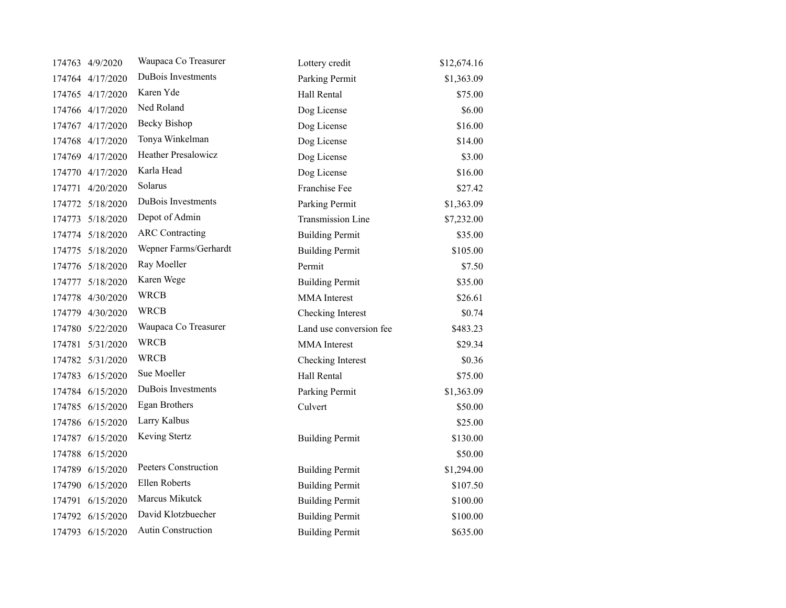| 174763 4/9/2020  | Waupaca Co Treasurer        | Lottery credit          | \$12,674.16 |
|------------------|-----------------------------|-------------------------|-------------|
| 174764 4/17/2020 | DuBois Investments          | Parking Permit          | \$1,363.09  |
| 174765 4/17/2020 | Karen Yde                   | Hall Rental             | \$75.00     |
| 174766 4/17/2020 | Ned Roland                  | Dog License             | \$6.00      |
| 174767 4/17/2020 | <b>Becky Bishop</b>         | Dog License             | \$16.00     |
| 174768 4/17/2020 | Tonya Winkelman             | Dog License             | \$14.00     |
| 174769 4/17/2020 | <b>Heather Presalowicz</b>  | Dog License             | \$3.00      |
| 174770 4/17/2020 | Karla Head                  | Dog License             | \$16.00     |
| 174771 4/20/2020 | Solarus                     | Franchise Fee           | \$27.42     |
| 174772 5/18/2020 | DuBois Investments          | Parking Permit          | \$1,363.09  |
| 174773 5/18/2020 | Depot of Admin              | Transmission Line       | \$7,232.00  |
| 174774 5/18/2020 | <b>ARC</b> Contracting      | <b>Building Permit</b>  | \$35.00     |
| 174775 5/18/2020 | Wepner Farms/Gerhardt       | <b>Building Permit</b>  | \$105.00    |
| 174776 5/18/2020 | Ray Moeller                 | Permit                  | \$7.50      |
| 174777 5/18/2020 | Karen Wege                  | <b>Building Permit</b>  | \$35.00     |
| 174778 4/30/2020 | <b>WRCB</b>                 | <b>MMA</b> Interest     | \$26.61     |
| 174779 4/30/2020 | <b>WRCB</b>                 | Checking Interest       | \$0.74      |
| 174780 5/22/2020 | Waupaca Co Treasurer        | Land use conversion fee | \$483.23    |
| 174781 5/31/2020 | <b>WRCB</b>                 | <b>MMA</b> Interest     | \$29.34     |
| 174782 5/31/2020 | <b>WRCB</b>                 | Checking Interest       | \$0.36      |
| 174783 6/15/2020 | Sue Moeller                 | Hall Rental             | \$75.00     |
| 174784 6/15/2020 | DuBois Investments          | Parking Permit          | \$1,363.09  |
| 174785 6/15/2020 | Egan Brothers               | Culvert                 | \$50.00     |
| 174786 6/15/2020 | Larry Kalbus                |                         | \$25.00     |
| 174787 6/15/2020 | Keving Stertz               | <b>Building Permit</b>  | \$130.00    |
| 174788 6/15/2020 |                             |                         | \$50.00     |
| 174789 6/15/2020 | <b>Peeters Construction</b> | <b>Building Permit</b>  | \$1,294.00  |
| 174790 6/15/2020 | Ellen Roberts               | <b>Building Permit</b>  | \$107.50    |
| 174791 6/15/2020 | Marcus Mikutck              | <b>Building Permit</b>  | \$100.00    |
| 174792 6/15/2020 | David Klotzbuecher          | <b>Building Permit</b>  | \$100.00    |
| 174793 6/15/2020 | <b>Autin Construction</b>   | <b>Building Permit</b>  | \$635.00    |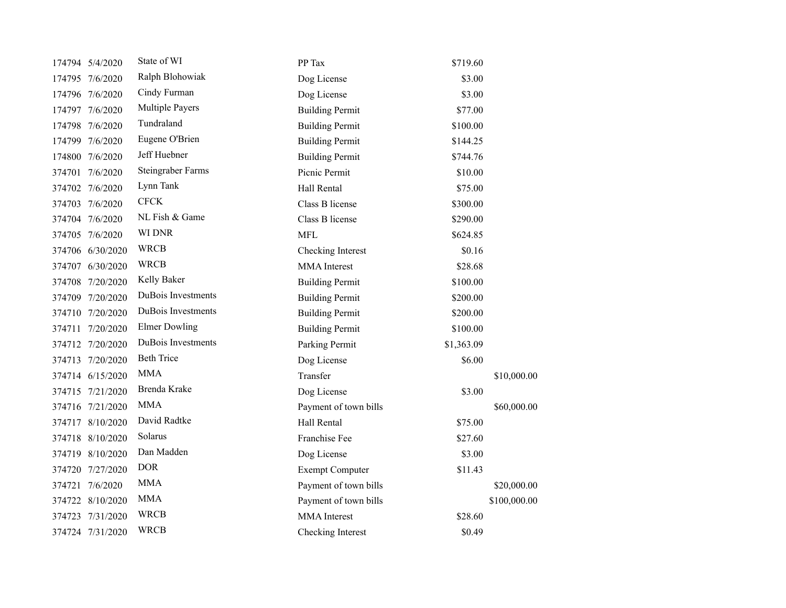|        | 174794 5/4/2020  | State of WI            | PP Tax                 | \$719.60   |              |
|--------|------------------|------------------------|------------------------|------------|--------------|
|        | 174795 7/6/2020  | Ralph Blohowiak        | Dog License            | \$3.00     |              |
|        | 174796 7/6/2020  | Cindy Furman           | Dog License            | \$3.00     |              |
|        | 174797 7/6/2020  | <b>Multiple Payers</b> | <b>Building Permit</b> | \$77.00    |              |
|        | 174798 7/6/2020  | Tundraland             | <b>Building Permit</b> | \$100.00   |              |
|        | 174799 7/6/2020  | Eugene O'Brien         | <b>Building Permit</b> | \$144.25   |              |
|        | 174800 7/6/2020  | Jeff Huebner           | <b>Building Permit</b> | \$744.76   |              |
|        | 374701 7/6/2020  | Steingraber Farms      | Picnic Permit          | \$10.00    |              |
|        | 374702 7/6/2020  | Lynn Tank              | Hall Rental            | \$75.00    |              |
|        | 374703 7/6/2020  | <b>CFCK</b>            | Class B license        | \$300.00   |              |
|        | 374704 7/6/2020  | NL Fish & Game         | Class B license        | \$290.00   |              |
|        | 374705 7/6/2020  | WI DNR                 | <b>MFL</b>             | \$624.85   |              |
|        | 374706 6/30/2020 | <b>WRCB</b>            | Checking Interest      | \$0.16     |              |
|        | 374707 6/30/2020 | <b>WRCB</b>            | MMA Interest           | \$28.68    |              |
|        | 374708 7/20/2020 | Kelly Baker            | <b>Building Permit</b> | \$100.00   |              |
|        | 374709 7/20/2020 | DuBois Investments     | <b>Building Permit</b> | \$200.00   |              |
|        | 374710 7/20/2020 | DuBois Investments     | <b>Building Permit</b> | \$200.00   |              |
|        | 374711 7/20/2020 | <b>Elmer Dowling</b>   | <b>Building Permit</b> | \$100.00   |              |
|        | 374712 7/20/2020 | DuBois Investments     | Parking Permit         | \$1,363.09 |              |
|        | 374713 7/20/2020 | <b>Beth Trice</b>      | Dog License            | \$6.00     |              |
|        | 374714 6/15/2020 | <b>MMA</b>             | Transfer               |            | \$10,000.00  |
|        | 374715 7/21/2020 | Brenda Krake           | Dog License            | \$3.00     |              |
|        | 374716 7/21/2020 | <b>MMA</b>             | Payment of town bills  |            | \$60,000.00  |
|        | 374717 8/10/2020 | David Radtke           | Hall Rental            | \$75.00    |              |
|        | 374718 8/10/2020 | Solarus                | Franchise Fee          | \$27.60    |              |
|        | 374719 8/10/2020 | Dan Madden             | Dog License            | \$3.00     |              |
|        | 374720 7/27/2020 | <b>DOR</b>             | <b>Exempt Computer</b> | \$11.43    |              |
| 374721 | 7/6/2020         | <b>MMA</b>             | Payment of town bills  |            | \$20,000.00  |
|        | 374722 8/10/2020 | <b>MMA</b>             | Payment of town bills  |            | \$100,000.00 |
| 374723 | 7/31/2020        | <b>WRCB</b>            | <b>MMA</b> Interest    | \$28.60    |              |
|        | 374724 7/31/2020 | <b>WRCB</b>            | Checking Interest      | \$0.49     |              |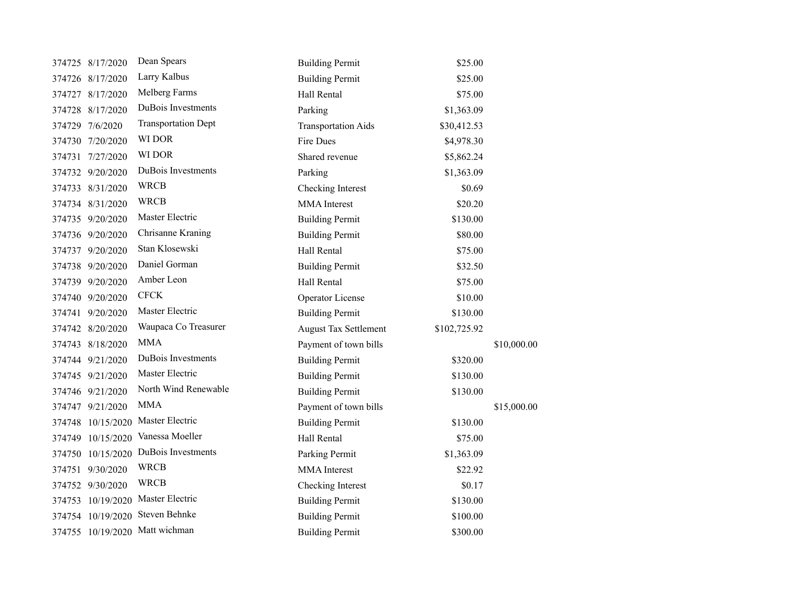|        | 374725 8/17/2020  | Dean Spears                       | <b>Building Permit</b>       | \$25.00      |             |
|--------|-------------------|-----------------------------------|------------------------------|--------------|-------------|
|        | 374726 8/17/2020  | Larry Kalbus                      | <b>Building Permit</b>       | \$25.00      |             |
|        | 374727 8/17/2020  | Melberg Farms                     | Hall Rental                  | \$75.00      |             |
|        | 374728 8/17/2020  | DuBois Investments                | Parking                      | \$1,363.09   |             |
|        | 374729 7/6/2020   | <b>Transportation Dept</b>        | <b>Transportation Aids</b>   | \$30,412.53  |             |
|        | 374730 7/20/2020  | WI DOR                            | Fire Dues                    | \$4,978.30   |             |
| 374731 | 7/27/2020         | WI DOR                            | Shared revenue               | \$5,862.24   |             |
|        | 374732 9/20/2020  | DuBois Investments                | Parking                      | \$1,363.09   |             |
|        | 374733 8/31/2020  | <b>WRCB</b>                       | Checking Interest            | \$0.69       |             |
|        | 374734 8/31/2020  | <b>WRCB</b>                       | <b>MMA</b> Interest          | \$20.20      |             |
|        | 374735 9/20/2020  | Master Electric                   | <b>Building Permit</b>       | \$130.00     |             |
|        | 374736 9/20/2020  | Chrisanne Kraning                 | <b>Building Permit</b>       | \$80.00      |             |
|        | 374737 9/20/2020  | Stan Klosewski                    | Hall Rental                  | \$75.00      |             |
|        | 374738 9/20/2020  | Daniel Gorman                     | <b>Building Permit</b>       | \$32.50      |             |
|        | 374739 9/20/2020  | Amber Leon                        | Hall Rental                  | \$75.00      |             |
|        | 374740 9/20/2020  | <b>CFCK</b>                       | Operator License             | \$10.00      |             |
|        | 374741 9/20/2020  | Master Electric                   | <b>Building Permit</b>       | \$130.00     |             |
|        | 374742 8/20/2020  | Waupaca Co Treasurer              | <b>August Tax Settlement</b> | \$102,725.92 |             |
|        | 374743 8/18/2020  | <b>MMA</b>                        | Payment of town bills        |              | \$10,000.00 |
|        | 374744 9/21/2020  | DuBois Investments                | <b>Building Permit</b>       | \$320.00     |             |
|        | 374745 9/21/2020  | Master Electric                   | <b>Building Permit</b>       | \$130.00     |             |
|        | 374746 9/21/2020  | North Wind Renewable              | <b>Building Permit</b>       | \$130.00     |             |
|        | 374747 9/21/2020  | <b>MMA</b>                        | Payment of town bills        |              | \$15,000.00 |
|        | 374748 10/15/2020 | Master Electric                   | <b>Building Permit</b>       | \$130.00     |             |
|        | 374749 10/15/2020 | Vanessa Moeller                   | Hall Rental                  | \$75.00      |             |
|        | 374750 10/15/2020 | DuBois Investments                | Parking Permit               | \$1,363.09   |             |
|        | 374751 9/30/2020  | <b>WRCB</b>                       | <b>MMA</b> Interest          | \$22.92      |             |
|        | 374752 9/30/2020  | <b>WRCB</b>                       | Checking Interest            | \$0.17       |             |
|        |                   | 374753 10/19/2020 Master Electric | <b>Building Permit</b>       | \$130.00     |             |
|        |                   | 374754 10/19/2020 Steven Behnke   | <b>Building Permit</b>       | \$100.00     |             |
|        |                   | 374755 10/19/2020 Matt wichman    | <b>Building Permit</b>       | \$300.00     |             |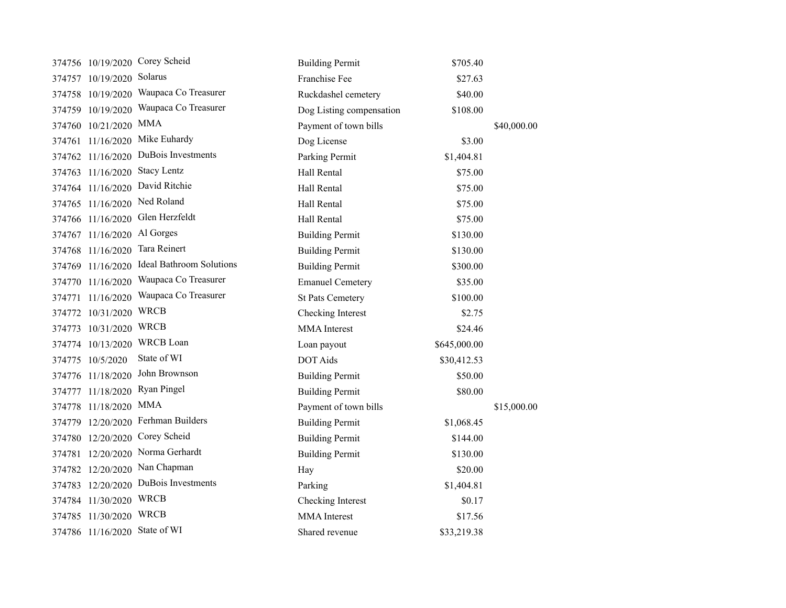|        |                               | 374756 10/19/2020 Corey Scheid     | <b>Building Permit</b>   | \$705.40     |             |
|--------|-------------------------------|------------------------------------|--------------------------|--------------|-------------|
|        | 374757 10/19/2020 Solarus     |                                    | Franchise Fee            | \$27.63      |             |
| 374758 |                               | 10/19/2020 Waupaca Co Treasurer    | Ruckdashel cemetery      | \$40.00      |             |
| 374759 |                               | 10/19/2020 Waupaca Co Treasurer    | Dog Listing compensation | \$108.00     |             |
|        | 374760 10/21/2020             | <b>MMA</b>                         | Payment of town bills    |              | \$40,000.00 |
| 374761 | 11/16/2020                    | Mike Euhardy                       | Dog License              | \$3.00       |             |
| 374762 | 11/16/2020                    | DuBois Investments                 | Parking Permit           | \$1,404.81   |             |
| 374763 |                               | 11/16/2020 Stacy Lentz             | Hall Rental              | \$75.00      |             |
| 374764 | 11/16/2020                    | David Ritchie                      | Hall Rental              | \$75.00      |             |
|        |                               | 374765 11/16/2020 Ned Roland       | Hall Rental              | \$75.00      |             |
|        |                               | 374766 11/16/2020 Glen Herzfeldt   | Hall Rental              | \$75.00      |             |
|        | 374767 11/16/2020 Al Gorges   |                                    | <b>Building Permit</b>   | \$130.00     |             |
| 374768 | 11/16/2020                    | Tara Reinert                       | <b>Building Permit</b>   | \$130.00     |             |
| 374769 | 11/16/2020                    | <b>Ideal Bathroom Solutions</b>    | <b>Building Permit</b>   | \$300.00     |             |
| 374770 | 11/16/2020                    | Waupaca Co Treasurer               | <b>Emanuel Cemetery</b>  | \$35.00      |             |
| 374771 | 11/16/2020                    | Waupaca Co Treasurer               | <b>St Pats Cemetery</b>  | \$100.00     |             |
|        | 374772 10/31/2020             | <b>WRCB</b>                        | Checking Interest        | \$2.75       |             |
| 374773 | 10/31/2020                    | <b>WRCB</b>                        | <b>MMA</b> Interest      | \$24.46      |             |
|        | 374774 10/13/2020             | <b>WRCB</b> Loan                   | Loan payout              | \$645,000.00 |             |
| 374775 | 10/5/2020                     | State of WI                        | <b>DOT Aids</b>          | \$30,412.53  |             |
|        | 374776 11/18/2020             | John Brownson                      | <b>Building Permit</b>   | \$50.00      |             |
| 374777 | 11/18/2020                    | Ryan Pingel                        | <b>Building Permit</b>   | \$80.00      |             |
| 374778 | 11/18/2020                    | <b>MMA</b>                         | Payment of town bills    |              | \$15,000.00 |
|        |                               | 374779 12/20/2020 Ferhman Builders | <b>Building Permit</b>   | \$1,068.45   |             |
|        |                               | 374780 12/20/2020 Corey Scheid     | <b>Building Permit</b>   | \$144.00     |             |
| 374781 |                               | 12/20/2020 Norma Gerhardt          | <b>Building Permit</b>   | \$130.00     |             |
|        |                               | 374782 12/20/2020 Nan Chapman      | Hay                      | \$20.00      |             |
| 374783 |                               | 12/20/2020 DuBois Investments      | Parking                  | \$1,404.81   |             |
| 374784 | 11/30/2020 WRCB               |                                    | Checking Interest        | \$0.17       |             |
|        | 374785 11/30/2020             | <b>WRCB</b>                        | <b>MMA</b> Interest      | \$17.56      |             |
|        | 374786 11/16/2020 State of WI |                                    | Shared revenue           | \$33,219.38  |             |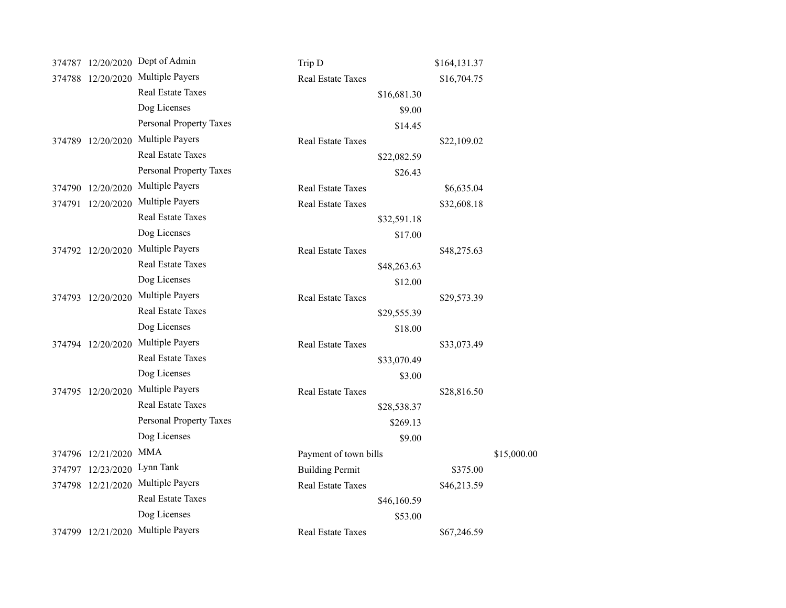|                   | 374787 12/20/2020 Dept of Admin | Trip D                   | \$164,131.37 |             |
|-------------------|---------------------------------|--------------------------|--------------|-------------|
| 374788 12/20/2020 | <b>Multiple Payers</b>          | <b>Real Estate Taxes</b> | \$16,704.75  |             |
|                   | Real Estate Taxes               | \$16,681.30              |              |             |
|                   | Dog Licenses                    | \$9.00                   |              |             |
|                   | <b>Personal Property Taxes</b>  | \$14.45                  |              |             |
| 374789 12/20/2020 | <b>Multiple Payers</b>          | Real Estate Taxes        | \$22,109.02  |             |
|                   | <b>Real Estate Taxes</b>        | \$22,082.59              |              |             |
|                   | Personal Property Taxes         | \$26.43                  |              |             |
| 374790 12/20/2020 | <b>Multiple Payers</b>          | <b>Real Estate Taxes</b> | \$6,635.04   |             |
| 374791 12/20/2020 | <b>Multiple Payers</b>          | <b>Real Estate Taxes</b> | \$32,608.18  |             |
|                   | <b>Real Estate Taxes</b>        | \$32,591.18              |              |             |
|                   | Dog Licenses                    | \$17.00                  |              |             |
| 374792 12/20/2020 | <b>Multiple Payers</b>          | <b>Real Estate Taxes</b> | \$48,275.63  |             |
|                   | <b>Real Estate Taxes</b>        | \$48,263.63              |              |             |
|                   | Dog Licenses                    | \$12.00                  |              |             |
| 374793 12/20/2020 | <b>Multiple Payers</b>          | Real Estate Taxes        | \$29,573.39  |             |
|                   | <b>Real Estate Taxes</b>        | \$29,555.39              |              |             |
|                   | Dog Licenses                    | \$18.00                  |              |             |
| 374794 12/20/2020 | Multiple Payers                 | <b>Real Estate Taxes</b> | \$33,073.49  |             |
|                   | Real Estate Taxes               | \$33,070.49              |              |             |
|                   | Dog Licenses                    | \$3.00                   |              |             |
| 374795 12/20/2020 | <b>Multiple Payers</b>          | Real Estate Taxes        | \$28,816.50  |             |
|                   | Real Estate Taxes               | \$28,538.37              |              |             |
|                   | Personal Property Taxes         | \$269.13                 |              |             |
|                   | Dog Licenses                    | \$9.00                   |              |             |
| 374796 12/21/2020 | <b>MMA</b>                      | Payment of town bills    |              | \$15,000.00 |
| 374797 12/23/2020 | Lynn Tank                       | <b>Building Permit</b>   | \$375.00     |             |
| 374798 12/21/2020 | <b>Multiple Payers</b>          | <b>Real Estate Taxes</b> | \$46,213.59  |             |
|                   | Real Estate Taxes               | \$46,160.59              |              |             |
|                   | Dog Licenses                    | \$53.00                  |              |             |
| 374799 12/21/2020 | Multiple Payers                 | <b>Real Estate Taxes</b> | \$67,246.59  |             |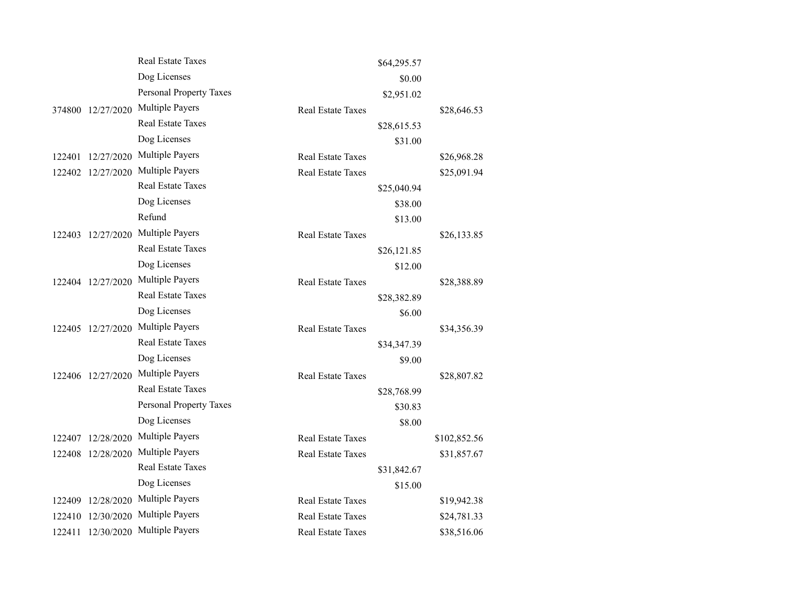|        |                   | <b>Real Estate Taxes</b>       |                          | \$64,295.57 |              |
|--------|-------------------|--------------------------------|--------------------------|-------------|--------------|
|        |                   | Dog Licenses                   |                          | \$0.00      |              |
|        |                   | <b>Personal Property Taxes</b> |                          | \$2,951.02  |              |
|        | 374800 12/27/2020 | <b>Multiple Payers</b>         | <b>Real Estate Taxes</b> |             | \$28,646.53  |
|        |                   | <b>Real Estate Taxes</b>       |                          | \$28,615.53 |              |
|        |                   | Dog Licenses                   |                          | \$31.00     |              |
| 122401 | 12/27/2020        | Multiple Payers                | <b>Real Estate Taxes</b> |             | \$26,968.28  |
|        | 122402 12/27/2020 | <b>Multiple Payers</b>         | <b>Real Estate Taxes</b> |             | \$25,091.94  |
|        |                   | <b>Real Estate Taxes</b>       |                          | \$25,040.94 |              |
|        |                   | Dog Licenses                   |                          | \$38.00     |              |
|        |                   | Refund                         |                          | \$13.00     |              |
|        | 122403 12/27/2020 | <b>Multiple Payers</b>         | <b>Real Estate Taxes</b> |             | \$26,133.85  |
|        |                   | <b>Real Estate Taxes</b>       |                          | \$26,121.85 |              |
|        |                   | Dog Licenses                   |                          | \$12.00     |              |
|        | 122404 12/27/2020 | <b>Multiple Payers</b>         | Real Estate Taxes        |             | \$28,388.89  |
|        |                   | <b>Real Estate Taxes</b>       |                          | \$28,382.89 |              |
|        |                   | Dog Licenses                   |                          | \$6.00      |              |
|        | 122405 12/27/2020 | <b>Multiple Payers</b>         | <b>Real Estate Taxes</b> |             | \$34,356.39  |
|        |                   | <b>Real Estate Taxes</b>       |                          | \$34,347.39 |              |
|        |                   | Dog Licenses                   |                          | \$9.00      |              |
|        | 122406 12/27/2020 | Multiple Payers                | Real Estate Taxes        |             | \$28,807.82  |
|        |                   | <b>Real Estate Taxes</b>       |                          | \$28,768.99 |              |
|        |                   | Personal Property Taxes        |                          | \$30.83     |              |
|        |                   | Dog Licenses                   |                          | \$8.00      |              |
| 122407 | 12/28/2020        | <b>Multiple Payers</b>         | <b>Real Estate Taxes</b> |             | \$102,852.56 |
|        | 122408 12/28/2020 | <b>Multiple Payers</b>         | <b>Real Estate Taxes</b> |             | \$31,857.67  |
|        |                   | <b>Real Estate Taxes</b>       |                          | \$31,842.67 |              |
|        |                   | Dog Licenses                   |                          | \$15.00     |              |
| 122409 | 12/28/2020        | <b>Multiple Payers</b>         | <b>Real Estate Taxes</b> |             | \$19,942.38  |
|        | 122410 12/30/2020 | <b>Multiple Payers</b>         | Real Estate Taxes        |             | \$24,781.33  |
|        | 122411 12/30/2020 | <b>Multiple Payers</b>         | <b>Real Estate Taxes</b> |             | \$38,516.06  |